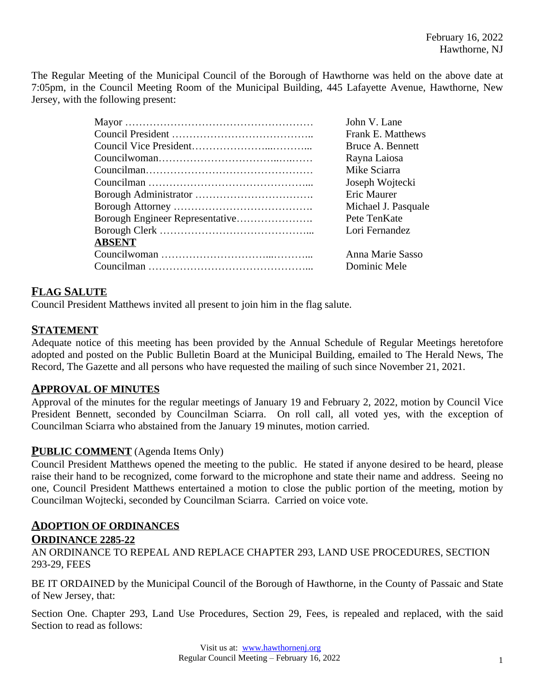The Regular Meeting of the Municipal Council of the Borough of Hawthorne was held on the above date at 7:05pm, in the Council Meeting Room of the Municipal Building, 445 Lafayette Avenue, Hawthorne, New Jersey, with the following present:

|               | John V. Lane        |
|---------------|---------------------|
|               | Frank E. Matthews   |
|               | Bruce A. Bennett    |
|               | Rayna Laiosa        |
|               | Mike Sciarra        |
|               | Joseph Wojtecki     |
|               | Eric Maurer         |
|               | Michael J. Pasquale |
|               | Pete TenKate        |
|               | Lori Fernandez      |
| <b>ABSENT</b> |                     |
|               | Anna Marie Sasso    |
|               | Dominic Mele        |

# **FLAG SALUTE**

Council President Matthews invited all present to join him in the flag salute.

## **STATEMENT**

Adequate notice of this meeting has been provided by the Annual Schedule of Regular Meetings heretofore adopted and posted on the Public Bulletin Board at the Municipal Building, emailed to The Herald News, The Record, The Gazette and all persons who have requested the mailing of such since November 21, 2021.

#### **APPROVAL OF MINUTES**

Approval of the minutes for the regular meetings of January 19 and February 2, 2022, motion by Council Vice President Bennett, seconded by Councilman Sciarra. On roll call, all voted yes, with the exception of Councilman Sciarra who abstained from the January 19 minutes, motion carried.

#### **PUBLIC COMMENT** (Agenda Items Only)

Council President Matthews opened the meeting to the public. He stated if anyone desired to be heard, please raise their hand to be recognized, come forward to the microphone and state their name and address. Seeing no one, Council President Matthews entertained a motion to close the public portion of the meeting, motion by Councilman Wojtecki, seconded by Councilman Sciarra. Carried on voice vote.

#### **ADOPTION OF ORDINANCES ORDINANCE 2285-22**

AN ORDINANCE TO REPEAL AND REPLACE CHAPTER 293, LAND USE PROCEDURES, SECTION 293-29, FEES

BE IT ORDAINED by the Municipal Council of the Borough of Hawthorne, in the County of Passaic and State of New Jersey, that:

Section One. Chapter 293, Land Use Procedures, Section 29, Fees, is repealed and replaced, with the said Section to read as follows: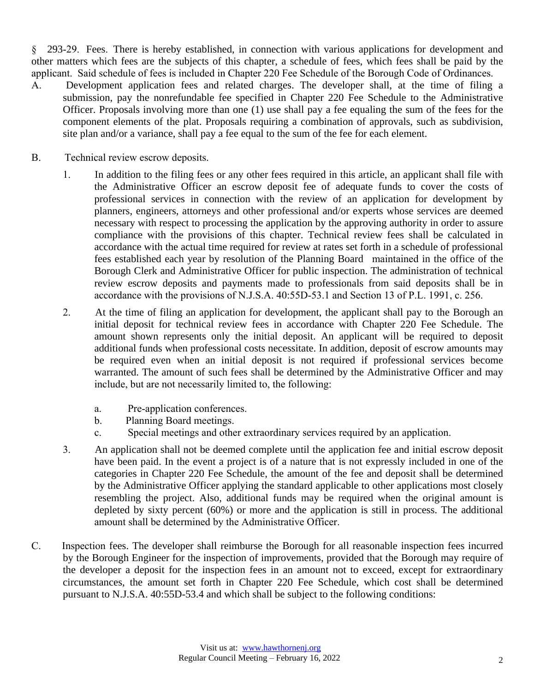§ 293-29. Fees. There is hereby established, in connection with various applications for development and other matters which fees are the subjects of this chapter, a schedule of fees, which fees shall be paid by the applicant. Said schedule of fees is included in Chapter 220 Fee Schedule of the Borough Code of Ordinances.

- A. Development application fees and related charges. The developer shall, at the time of filing a submission, pay the nonrefundable fee specified in Chapter 220 Fee Schedule to the Administrative Officer. Proposals involving more than one (1) use shall pay a fee equaling the sum of the fees for the component elements of the plat. Proposals requiring a combination of approvals, such as subdivision, site plan and/or a variance, shall pay a fee equal to the sum of the fee for each element.
- B. Technical review escrow deposits.
	- 1. In addition to the filing fees or any other fees required in this article, an applicant shall file with the Administrative Officer an escrow deposit fee of adequate funds to cover the costs of professional services in connection with the review of an application for development by planners, engineers, attorneys and other professional and/or experts whose services are deemed necessary with respect to processing the application by the approving authority in order to assure compliance with the provisions of this chapter. Technical review fees shall be calculated in accordance with the actual time required for review at rates set forth in a schedule of professional fees established each year by resolution of the Planning Board maintained in the office of the Borough Clerk and Administrative Officer for public inspection. The administration of technical review escrow deposits and payments made to professionals from said deposits shall be in accordance with the provisions of N.J.S.A. 40:55D-53.1 and Section 13 of P.L. 1991, c. 256.
	- 2. At the time of filing an application for development, the applicant shall pay to the Borough an initial deposit for technical review fees in accordance with Chapter 220 Fee Schedule. The amount shown represents only the initial deposit. An applicant will be required to deposit additional funds when professional costs necessitate. In addition, deposit of escrow amounts may be required even when an initial deposit is not required if professional services become warranted. The amount of such fees shall be determined by the Administrative Officer and may include, but are not necessarily limited to, the following:
		- a. Pre-application conferences.
		- b. Planning Board meetings.
		- c. Special meetings and other extraordinary services required by an application.
	- 3. An application shall not be deemed complete until the application fee and initial escrow deposit have been paid. In the event a project is of a nature that is not expressly included in one of the categories in Chapter 220 Fee Schedule, the amount of the fee and deposit shall be determined by the Administrative Officer applying the standard applicable to other applications most closely resembling the project. Also, additional funds may be required when the original amount is depleted by sixty percent (60%) or more and the application is still in process. The additional amount shall be determined by the Administrative Officer.
- C. Inspection fees. The developer shall reimburse the Borough for all reasonable inspection fees incurred by the Borough Engineer for the inspection of improvements, provided that the Borough may require of the developer a deposit for the inspection fees in an amount not to exceed, except for extraordinary circumstances, the amount set forth in Chapter 220 Fee Schedule, which cost shall be determined pursuant to N.J.S.A. 40:55D-53.4 and which shall be subject to the following conditions: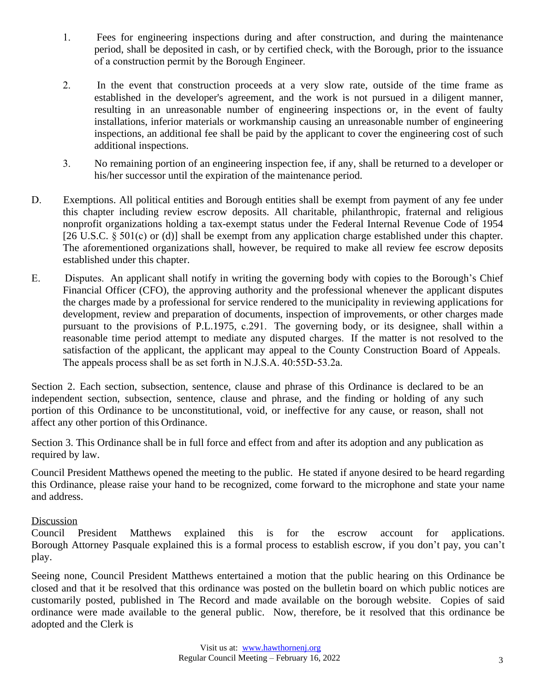- 1. Fees for engineering inspections during and after construction, and during the maintenance period, shall be deposited in cash, or by certified check, with the Borough, prior to the issuance of a construction permit by the Borough Engineer.
- 2. In the event that construction proceeds at a very slow rate, outside of the time frame as established in the developer's agreement, and the work is not pursued in a diligent manner, resulting in an unreasonable number of engineering inspections or, in the event of faulty installations, inferior materials or workmanship causing an unreasonable number of engineering inspections, an additional fee shall be paid by the applicant to cover the engineering cost of such additional inspections.
- 3. No remaining portion of an engineering inspection fee, if any, shall be returned to a developer or his/her successor until the expiration of the maintenance period.
- D. Exemptions. All political entities and Borough entities shall be exempt from payment of any fee under this chapter including review escrow deposits. All charitable, philanthropic, fraternal and religious nonprofit organizations holding a tax-exempt status under the Federal Internal Revenue Code of 1954 [26 U.S.C. § 501(c) or (d)] shall be exempt from any application charge established under this chapter. The aforementioned organizations shall, however, be required to make all review fee escrow deposits established under this chapter.
- E. Disputes. An applicant shall notify in writing the governing body with copies to the Borough's Chief Financial Officer (CFO), the approving authority and the professional whenever the applicant disputes the charges made by a professional for service rendered to the municipality in reviewing applications for development, review and preparation of documents, inspection of improvements, or other charges made pursuant to the provisions of P.L.1975, c.291. The governing body, or its designee, shall within a reasonable time period attempt to mediate any disputed charges. If the matter is not resolved to the satisfaction of the applicant, the applicant may appeal to the County Construction Board of Appeals. The appeals process shall be as set forth in N.J.S.A. 40:55D-53.2a.

Section 2. Each section, subsection, sentence, clause and phrase of this Ordinance is declared to be an independent section, subsection, sentence, clause and phrase, and the finding or holding of any such portion of this Ordinance to be unconstitutional, void, or ineffective for any cause, or reason, shall not affect any other portion of this Ordinance.

Section 3. This Ordinance shall be in full force and effect from and after its adoption and any publication as required by law.

Council President Matthews opened the meeting to the public. He stated if anyone desired to be heard regarding this Ordinance, please raise your hand to be recognized, come forward to the microphone and state your name and address.

#### Discussion

Council President Matthews explained this is for the escrow account for applications. Borough Attorney Pasquale explained this is a formal process to establish escrow, if you don't pay, you can't play.

Seeing none, Council President Matthews entertained a motion that the public hearing on this Ordinance be closed and that it be resolved that this ordinance was posted on the bulletin board on which public notices are customarily posted, published in The Record and made available on the borough website. Copies of said ordinance were made available to the general public. Now, therefore, be it resolved that this ordinance be adopted and the Clerk is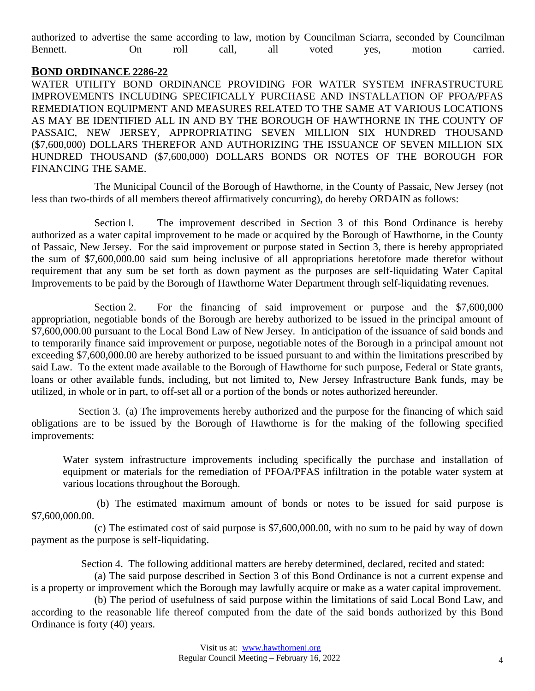|          |    |      |       |     | authorized to advertise the same according to law, motion by Councilman Sciarra, seconded by Councilman |      |        |          |
|----------|----|------|-------|-----|---------------------------------------------------------------------------------------------------------|------|--------|----------|
| Bennett. | Эn | roll | call, | all | voted                                                                                                   | yes. | motion | carried. |

#### **BOND ORDINANCE 2286-22**

WATER UTILITY BOND ORDINANCE PROVIDING FOR WATER SYSTEM INFRASTRUCTURE IMPROVEMENTS INCLUDING SPECIFICALLY PURCHASE AND INSTALLATION OF PFOA/PFAS REMEDIATION EQUIPMENT AND MEASURES RELATED TO THE SAME AT VARIOUS LOCATIONS AS MAY BE IDENTIFIED ALL IN AND BY THE BOROUGH OF HAWTHORNE IN THE COUNTY OF PASSAIC, NEW JERSEY, APPROPRIATING SEVEN MILLION SIX HUNDRED THOUSAND (\$7,600,000) DOLLARS THEREFOR AND AUTHORIZING THE ISSUANCE OF SEVEN MILLION SIX HUNDRED THOUSAND (\$7,600,000) DOLLARS BONDS OR NOTES OF THE BOROUGH FOR FINANCING THE SAME.

The Municipal Council of the Borough of Hawthorne, in the County of Passaic, New Jersey (not less than two-thirds of all members thereof affirmatively concurring), do hereby ORDAIN as follows:

Section l. The improvement described in Section 3 of this Bond Ordinance is hereby authorized as a water capital improvement to be made or acquired by the Borough of Hawthorne, in the County of Passaic, New Jersey. For the said improvement or purpose stated in Section 3, there is hereby appropriated the sum of \$7,600,000.00 said sum being inclusive of all appropriations heretofore made therefor without requirement that any sum be set forth as down payment as the purposes are self-liquidating Water Capital Improvements to be paid by the Borough of Hawthorne Water Department through self-liquidating revenues.

Section 2. For the financing of said improvement or purpose and the \$7,600,000 appropriation, negotiable bonds of the Borough are hereby authorized to be issued in the principal amount of \$7,600,000.00 pursuant to the Local Bond Law of New Jersey. In anticipation of the issuance of said bonds and to temporarily finance said improvement or purpose, negotiable notes of the Borough in a principal amount not exceeding \$7,600,000.00 are hereby authorized to be issued pursuant to and within the limitations prescribed by said Law. To the extent made available to the Borough of Hawthorne for such purpose, Federal or State grants, loans or other available funds, including, but not limited to, New Jersey Infrastructure Bank funds, may be utilized, in whole or in part, to off-set all or a portion of the bonds or notes authorized hereunder.

 Section 3. (a) The improvements hereby authorized and the purpose for the financing of which said obligations are to be issued by the Borough of Hawthorne is for the making of the following specified improvements:

Water system infrastructure improvements including specifically the purchase and installation of equipment or materials for the remediation of PFOA/PFAS infiltration in the potable water system at various locations throughout the Borough.

(b) The estimated maximum amount of bonds or notes to be issued for said purpose is \$7,600,000.00.

(c) The estimated cost of said purpose is \$7,600,000.00, with no sum to be paid by way of down payment as the purpose is self-liquidating.

Section 4. The following additional matters are hereby determined, declared, recited and stated:

(a) The said purpose described in Section 3 of this Bond Ordinance is not a current expense and is a property or improvement which the Borough may lawfully acquire or make as a water capital improvement.

(b) The period of usefulness of said purpose within the limitations of said Local Bond Law, and according to the reasonable life thereof computed from the date of the said bonds authorized by this Bond Ordinance is forty (40) years.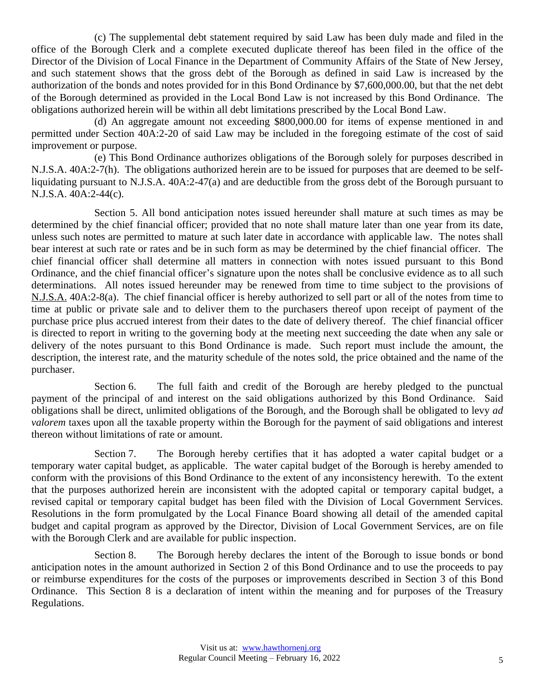(c) The supplemental debt statement required by said Law has been duly made and filed in the office of the Borough Clerk and a complete executed duplicate thereof has been filed in the office of the Director of the Division of Local Finance in the Department of Community Affairs of the State of New Jersey, and such statement shows that the gross debt of the Borough as defined in said Law is increased by the authorization of the bonds and notes provided for in this Bond Ordinance by \$7,600,000.00, but that the net debt of the Borough determined as provided in the Local Bond Law is not increased by this Bond Ordinance. The obligations authorized herein will be within all debt limitations prescribed by the Local Bond Law.

(d) An aggregate amount not exceeding \$800,000.00 for items of expense mentioned in and permitted under Section 40A:2-20 of said Law may be included in the foregoing estimate of the cost of said improvement or purpose.

(e) This Bond Ordinance authorizes obligations of the Borough solely for purposes described in N.J.S.A. 40A:2-7(h). The obligations authorized herein are to be issued for purposes that are deemed to be selfliquidating pursuant to N.J.S.A. 40A:2-47(a) and are deductible from the gross debt of the Borough pursuant to N.J.S.A. 40A:2-44(c).

Section 5. All bond anticipation notes issued hereunder shall mature at such times as may be determined by the chief financial officer; provided that no note shall mature later than one year from its date, unless such notes are permitted to mature at such later date in accordance with applicable law. The notes shall bear interest at such rate or rates and be in such form as may be determined by the chief financial officer. The chief financial officer shall determine all matters in connection with notes issued pursuant to this Bond Ordinance, and the chief financial officer's signature upon the notes shall be conclusive evidence as to all such determinations. All notes issued hereunder may be renewed from time to time subject to the provisions of N.J.S.A. 40A:2-8(a). The chief financial officer is hereby authorized to sell part or all of the notes from time to time at public or private sale and to deliver them to the purchasers thereof upon receipt of payment of the purchase price plus accrued interest from their dates to the date of delivery thereof. The chief financial officer is directed to report in writing to the governing body at the meeting next succeeding the date when any sale or delivery of the notes pursuant to this Bond Ordinance is made. Such report must include the amount, the description, the interest rate, and the maturity schedule of the notes sold, the price obtained and the name of the purchaser.

Section 6. The full faith and credit of the Borough are hereby pledged to the punctual payment of the principal of and interest on the said obligations authorized by this Bond Ordinance. Said obligations shall be direct, unlimited obligations of the Borough, and the Borough shall be obligated to levy *ad valorem* taxes upon all the taxable property within the Borough for the payment of said obligations and interest thereon without limitations of rate or amount.

Section 7. The Borough hereby certifies that it has adopted a water capital budget or a temporary water capital budget, as applicable. The water capital budget of the Borough is hereby amended to conform with the provisions of this Bond Ordinance to the extent of any inconsistency herewith. To the extent that the purposes authorized herein are inconsistent with the adopted capital or temporary capital budget, a revised capital or temporary capital budget has been filed with the Division of Local Government Services. Resolutions in the form promulgated by the Local Finance Board showing all detail of the amended capital budget and capital program as approved by the Director, Division of Local Government Services, are on file with the Borough Clerk and are available for public inspection.

Section 8. The Borough hereby declares the intent of the Borough to issue bonds or bond anticipation notes in the amount authorized in Section 2 of this Bond Ordinance and to use the proceeds to pay or reimburse expenditures for the costs of the purposes or improvements described in Section 3 of this Bond Ordinance. This Section 8 is a declaration of intent within the meaning and for purposes of the Treasury Regulations.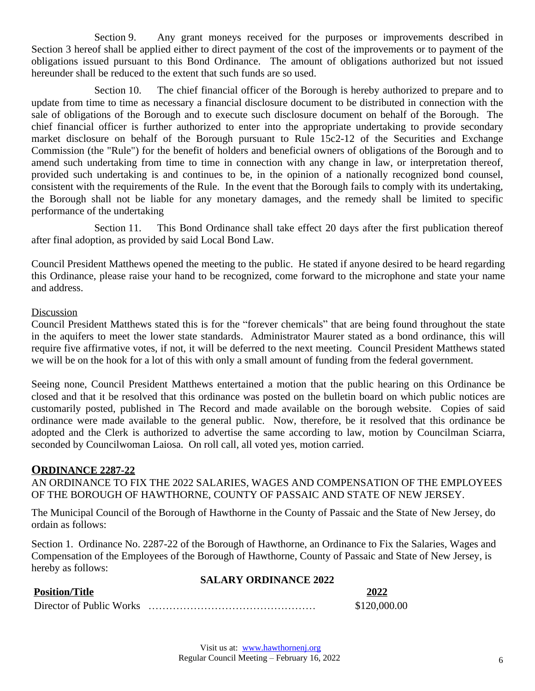Section 9. Any grant moneys received for the purposes or improvements described in Section 3 hereof shall be applied either to direct payment of the cost of the improvements or to payment of the obligations issued pursuant to this Bond Ordinance. The amount of obligations authorized but not issued hereunder shall be reduced to the extent that such funds are so used.

Section 10. The chief financial officer of the Borough is hereby authorized to prepare and to update from time to time as necessary a financial disclosure document to be distributed in connection with the sale of obligations of the Borough and to execute such disclosure document on behalf of the Borough. The chief financial officer is further authorized to enter into the appropriate undertaking to provide secondary market disclosure on behalf of the Borough pursuant to Rule 15c2-12 of the Securities and Exchange Commission (the "Rule") for the benefit of holders and beneficial owners of obligations of the Borough and to amend such undertaking from time to time in connection with any change in law, or interpretation thereof, provided such undertaking is and continues to be, in the opinion of a nationally recognized bond counsel, consistent with the requirements of the Rule. In the event that the Borough fails to comply with its undertaking, the Borough shall not be liable for any monetary damages, and the remedy shall be limited to specific performance of the undertaking

Section 11. This Bond Ordinance shall take effect 20 days after the first publication thereof after final adoption, as provided by said Local Bond Law.

Council President Matthews opened the meeting to the public. He stated if anyone desired to be heard regarding this Ordinance, please raise your hand to be recognized, come forward to the microphone and state your name and address.

#### **Discussion**

Council President Matthews stated this is for the "forever chemicals" that are being found throughout the state in the aquifers to meet the lower state standards. Administrator Maurer stated as a bond ordinance, this will require five affirmative votes, if not, it will be deferred to the next meeting. Council President Matthews stated we will be on the hook for a lot of this with only a small amount of funding from the federal government.

Seeing none, Council President Matthews entertained a motion that the public hearing on this Ordinance be closed and that it be resolved that this ordinance was posted on the bulletin board on which public notices are customarily posted, published in The Record and made available on the borough website. Copies of said ordinance were made available to the general public. Now, therefore, be it resolved that this ordinance be adopted and the Clerk is authorized to advertise the same according to law, motion by Councilman Sciarra, seconded by Councilwoman Laiosa. On roll call, all voted yes, motion carried.

#### **ORDINANCE 2287-22**

AN ORDINANCE TO FIX THE 2022 SALARIES, WAGES AND COMPENSATION OF THE EMPLOYEES OF THE BOROUGH OF HAWTHORNE, COUNTY OF PASSAIC AND STATE OF NEW JERSEY.

The Municipal Council of the Borough of Hawthorne in the County of Passaic and the State of New Jersey, do ordain as follows:

Section 1. Ordinance No. 2287-22 of the Borough of Hawthorne, an Ordinance to Fix the Salaries, Wages and Compensation of the Employees of the Borough of Hawthorne, County of Passaic and State of New Jersey, is hereby as follows:

#### **SALARY ORDINANCE 2022**

| <b>Position/Title</b>    | 2022         |
|--------------------------|--------------|
| Director of Public Works | \$120,000.00 |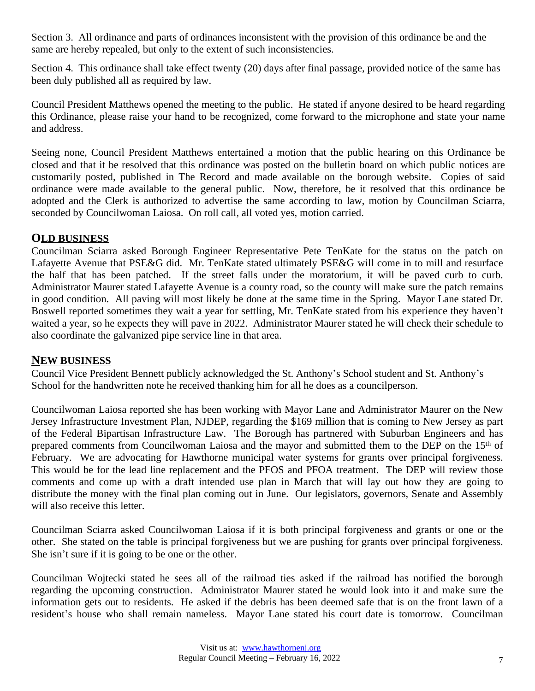Section 3. All ordinance and parts of ordinances inconsistent with the provision of this ordinance be and the same are hereby repealed, but only to the extent of such inconsistencies.

Section 4. This ordinance shall take effect twenty (20) days after final passage, provided notice of the same has been duly published all as required by law.

Council President Matthews opened the meeting to the public. He stated if anyone desired to be heard regarding this Ordinance, please raise your hand to be recognized, come forward to the microphone and state your name and address.

Seeing none, Council President Matthews entertained a motion that the public hearing on this Ordinance be closed and that it be resolved that this ordinance was posted on the bulletin board on which public notices are customarily posted, published in The Record and made available on the borough website. Copies of said ordinance were made available to the general public. Now, therefore, be it resolved that this ordinance be adopted and the Clerk is authorized to advertise the same according to law, motion by Councilman Sciarra, seconded by Councilwoman Laiosa. On roll call, all voted yes, motion carried.

## **OLD BUSINESS**

Councilman Sciarra asked Borough Engineer Representative Pete TenKate for the status on the patch on Lafayette Avenue that PSE&G did. Mr. TenKate stated ultimately PSE&G will come in to mill and resurface the half that has been patched. If the street falls under the moratorium, it will be paved curb to curb. Administrator Maurer stated Lafayette Avenue is a county road, so the county will make sure the patch remains in good condition. All paving will most likely be done at the same time in the Spring. Mayor Lane stated Dr. Boswell reported sometimes they wait a year for settling, Mr. TenKate stated from his experience they haven't waited a year, so he expects they will pave in 2022. Administrator Maurer stated he will check their schedule to also coordinate the galvanized pipe service line in that area.

#### **NEW BUSINESS**

Council Vice President Bennett publicly acknowledged the St. Anthony's School student and St. Anthony's School for the handwritten note he received thanking him for all he does as a councilperson.

Councilwoman Laiosa reported she has been working with Mayor Lane and Administrator Maurer on the New Jersey Infrastructure Investment Plan, NJDEP, regarding the \$169 million that is coming to New Jersey as part of the Federal Bipartisan Infrastructure Law. The Borough has partnered with Suburban Engineers and has prepared comments from Councilwoman Laiosa and the mayor and submitted them to the DEP on the 15<sup>th</sup> of February. We are advocating for Hawthorne municipal water systems for grants over principal forgiveness. This would be for the lead line replacement and the PFOS and PFOA treatment. The DEP will review those comments and come up with a draft intended use plan in March that will lay out how they are going to distribute the money with the final plan coming out in June. Our legislators, governors, Senate and Assembly will also receive this letter.

Councilman Sciarra asked Councilwoman Laiosa if it is both principal forgiveness and grants or one or the other. She stated on the table is principal forgiveness but we are pushing for grants over principal forgiveness. She isn't sure if it is going to be one or the other.

Councilman Wojtecki stated he sees all of the railroad ties asked if the railroad has notified the borough regarding the upcoming construction. Administrator Maurer stated he would look into it and make sure the information gets out to residents. He asked if the debris has been deemed safe that is on the front lawn of a resident's house who shall remain nameless. Mayor Lane stated his court date is tomorrow. Councilman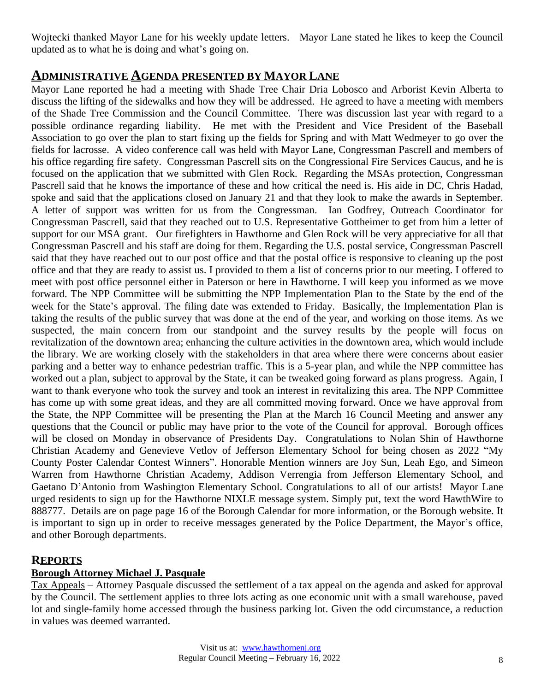Wojtecki thanked Mayor Lane for his weekly update letters. Mayor Lane stated he likes to keep the Council updated as to what he is doing and what's going on.

# **ADMINISTRATIVE AGENDA PRESENTED BY MAYOR LANE**

Mayor Lane reported he had a meeting with Shade Tree Chair Dria Lobosco and Arborist Kevin Alberta to discuss the lifting of the sidewalks and how they will be addressed. He agreed to have a meeting with members of the Shade Tree Commission and the Council Committee. There was discussion last year with regard to a possible ordinance regarding liability. He met with the President and Vice President of the Baseball Association to go over the plan to start fixing up the fields for Spring and with Matt Wedmeyer to go over the fields for lacrosse. A video conference call was held with Mayor Lane, Congressman Pascrell and members of his office regarding fire safety. Congressman Pascrell sits on the Congressional Fire Services Caucus, and he is focused on the application that we submitted with Glen Rock. Regarding the MSAs protection, Congressman Pascrell said that he knows the importance of these and how critical the need is. His aide in DC, Chris Hadad, spoke and said that the applications closed on January 21 and that they look to make the awards in September. A letter of support was written for us from the Congressman. Ian Godfrey, Outreach Coordinator for Congressman Pascrell, said that they reached out to U.S. Representative Gottheimer to get from him a letter of support for our MSA grant. Our firefighters in Hawthorne and Glen Rock will be very appreciative for all that Congressman Pascrell and his staff are doing for them. Regarding the U.S. postal service, Congressman Pascrell said that they have reached out to our post office and that the postal office is responsive to cleaning up the post office and that they are ready to assist us. I provided to them a list of concerns prior to our meeting. I offered to meet with post office personnel either in Paterson or here in Hawthorne. I will keep you informed as we move forward. The NPP Committee will be submitting the NPP Implementation Plan to the State by the end of the week for the State's approval. The filing date was extended to Friday. Basically, the Implementation Plan is taking the results of the public survey that was done at the end of the year, and working on those items. As we suspected, the main concern from our standpoint and the survey results by the people will focus on revitalization of the downtown area; enhancing the culture activities in the downtown area, which would include the library. We are working closely with the stakeholders in that area where there were concerns about easier parking and a better way to enhance pedestrian traffic. This is a 5-year plan, and while the NPP committee has worked out a plan, subject to approval by the State, it can be tweaked going forward as plans progress. Again, I want to thank everyone who took the survey and took an interest in revitalizing this area. The NPP Committee has come up with some great ideas, and they are all committed moving forward. Once we have approval from the State, the NPP Committee will be presenting the Plan at the March 16 Council Meeting and answer any questions that the Council or public may have prior to the vote of the Council for approval. Borough offices will be closed on Monday in observance of Presidents Day. Congratulations to Nolan Shin of Hawthorne Christian Academy and Genevieve Vetlov of Jefferson Elementary School for being chosen as 2022 "My County Poster Calendar Contest Winners". Honorable Mention winners are Joy Sun, Leah Ego, and Simeon Warren from Hawthorne Christian Academy, Addison Verrengia from Jefferson Elementary School, and Gaetano D'Antonio from Washington Elementary School. Congratulations to all of our artists! Mayor Lane urged residents to sign up for the Hawthorne NIXLE message system. Simply put, text the word HawthWire to 888777. Details are on page page 16 of the Borough Calendar for more information, or the Borough website. It is important to sign up in order to receive messages generated by the Police Department, the Mayor's office, and other Borough departments.

## **REPORTS**

#### **Borough Attorney Michael J. Pasquale**

Tax Appeals – Attorney Pasquale discussed the settlement of a tax appeal on the agenda and asked for approval by the Council. The settlement applies to three lots acting as one economic unit with a small warehouse, paved lot and single-family home accessed through the business parking lot. Given the odd circumstance, a reduction in values was deemed warranted.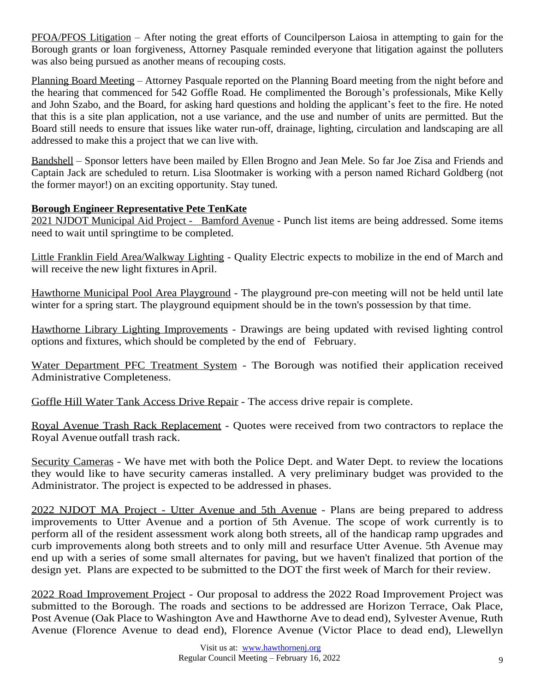PFOA/PFOS Litigation – After noting the great efforts of Councilperson Laiosa in attempting to gain for the Borough grants or loan forgiveness, Attorney Pasquale reminded everyone that litigation against the polluters was also being pursued as another means of recouping costs.

Planning Board Meeting – Attorney Pasquale reported on the Planning Board meeting from the night before and the hearing that commenced for 542 Goffle Road. He complimented the Borough's professionals, Mike Kelly and John Szabo, and the Board, for asking hard questions and holding the applicant's feet to the fire. He noted that this is a site plan application, not a use variance, and the use and number of units are permitted. But the Board still needs to ensure that issues like water run-off, drainage, lighting, circulation and landscaping are all addressed to make this a project that we can live with.

Bandshell – Sponsor letters have been mailed by Ellen Brogno and Jean Mele. So far Joe Zisa and Friends and Captain Jack are scheduled to return. Lisa Slootmaker is working with a person named Richard Goldberg (not the former mayor!) on an exciting opportunity. Stay tuned.

## **Borough Engineer Representative Pete TenKate**

2021 NJDOT Municipal Aid Project - Bamford Avenue - Punch list items are being addressed. Some items need to wait until springtime to be completed.

Little Franklin Field Area/Walkway Lighting - Quality Electric expects to mobilize in the end of March and will receive the new light fixtures in April.

Hawthorne Municipal Pool Area Playground - The playground pre-con meeting will not be held until late winter for a spring start. The playground equipment should be in the town's possession by that time.

Hawthorne Library Lighting Improvements - Drawings are being updated with revised lighting control options and fixtures, which should be completed by the end of February.

Water Department PFC Treatment System - The Borough was notified their application received Administrative Completeness.

Goffle Hill Water Tank Access Drive Repair - The access drive repair is complete.

Royal Avenue Trash Rack Replacement - Quotes were received from two contractors to replace the Royal Avenue outfall trash rack.

Security Cameras - We have met with both the Police Dept. and Water Dept. to review the locations they would like to have security cameras installed. A very preliminary budget was provided to the Administrator. The project is expected to be addressed in phases.

2022 NJDOT MA Project - Utter Avenue and 5th Avenue - Plans are being prepared to address improvements to Utter Avenue and a portion of 5th Avenue. The scope of work currently is to perform all of the resident assessment work along both streets, all of the handicap ramp upgrades and curb improvements along both streets and to only mill and resurface Utter Avenue. 5th Avenue may end up with a series of some small alternates for paving, but we haven't finalized that portion of the design yet. Plans are expected to be submitted to the DOT the first week of March for their review.

2022 Road Improvement Project - Our proposal to address the 2022 Road Improvement Project was submitted to the Borough. The roads and sections to be addressed are Horizon Terrace, Oak Place, Post Avenue (Oak Place to Washington Ave and Hawthorne Ave to dead end), Sylvester Avenue, Ruth Avenue (Florence Avenue to dead end), Florence Avenue (Victor Place to dead end), Llewellyn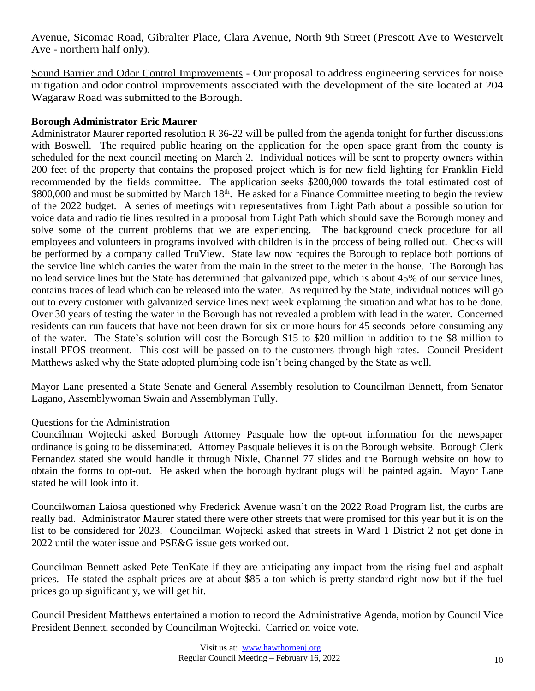Avenue, Sicomac Road, Gibralter Place, Clara Avenue, North 9th Street (Prescott Ave to Westervelt Ave - northern half only).

Sound Barrier and Odor Control Improvements - Our proposal to address engineering services for noise mitigation and odor control improvements associated with the development of the site located at 204 Wagaraw Road was submitted to the Borough.

#### **Borough Administrator Eric Maurer**

Administrator Maurer reported resolution R 36-22 will be pulled from the agenda tonight for further discussions with Boswell. The required public hearing on the application for the open space grant from the county is scheduled for the next council meeting on March 2. Individual notices will be sent to property owners within 200 feet of the property that contains the proposed project which is for new field lighting for Franklin Field recommended by the fields committee. The application seeks \$200,000 towards the total estimated cost of \$800,000 and must be submitted by March 18<sup>th</sup>. He asked for a Finance Committee meeting to begin the review of the 2022 budget. A series of meetings with representatives from Light Path about a possible solution for voice data and radio tie lines resulted in a proposal from Light Path which should save the Borough money and solve some of the current problems that we are experiencing. The background check procedure for all employees and volunteers in programs involved with children is in the process of being rolled out. Checks will be performed by a company called TruView. State law now requires the Borough to replace both portions of the service line which carries the water from the main in the street to the meter in the house. The Borough has no lead service lines but the State has determined that galvanized pipe, which is about 45% of our service lines, contains traces of lead which can be released into the water. As required by the State, individual notices will go out to every customer with galvanized service lines next week explaining the situation and what has to be done. Over 30 years of testing the water in the Borough has not revealed a problem with lead in the water. Concerned residents can run faucets that have not been drawn for six or more hours for 45 seconds before consuming any of the water. The State's solution will cost the Borough \$15 to \$20 million in addition to the \$8 million to install PFOS treatment. This cost will be passed on to the customers through high rates. Council President Matthews asked why the State adopted plumbing code isn't being changed by the State as well.

Mayor Lane presented a State Senate and General Assembly resolution to Councilman Bennett, from Senator Lagano, Assemblywoman Swain and Assemblyman Tully.

#### Questions for the Administration

Councilman Wojtecki asked Borough Attorney Pasquale how the opt-out information for the newspaper ordinance is going to be disseminated. Attorney Pasquale believes it is on the Borough website. Borough Clerk Fernandez stated she would handle it through Nixle, Channel 77 slides and the Borough website on how to obtain the forms to opt-out. He asked when the borough hydrant plugs will be painted again. Mayor Lane stated he will look into it.

Councilwoman Laiosa questioned why Frederick Avenue wasn't on the 2022 Road Program list, the curbs are really bad. Administrator Maurer stated there were other streets that were promised for this year but it is on the list to be considered for 2023. Councilman Wojtecki asked that streets in Ward 1 District 2 not get done in 2022 until the water issue and PSE&G issue gets worked out.

Councilman Bennett asked Pete TenKate if they are anticipating any impact from the rising fuel and asphalt prices. He stated the asphalt prices are at about \$85 a ton which is pretty standard right now but if the fuel prices go up significantly, we will get hit.

Council President Matthews entertained a motion to record the Administrative Agenda, motion by Council Vice President Bennett, seconded by Councilman Wojtecki. Carried on voice vote.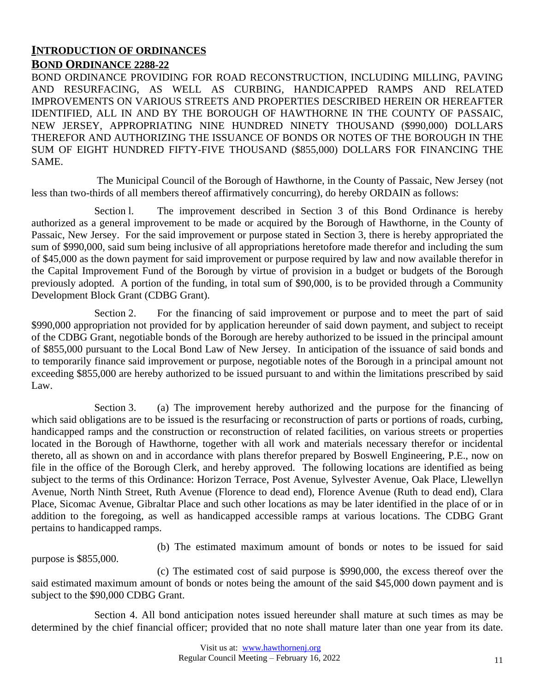## **INTRODUCTION OF ORDINANCES BOND ORDINANCE 2288-22**

BOND ORDINANCE PROVIDING FOR ROAD RECONSTRUCTION, INCLUDING MILLING, PAVING AND RESURFACING, AS WELL AS CURBING, HANDICAPPED RAMPS AND RELATED IMPROVEMENTS ON VARIOUS STREETS AND PROPERTIES DESCRIBED HEREIN OR HEREAFTER IDENTIFIED, ALL IN AND BY THE BOROUGH OF HAWTHORNE IN THE COUNTY OF PASSAIC, NEW JERSEY, APPROPRIATING NINE HUNDRED NINETY THOUSAND (\$990,000) DOLLARS THEREFOR AND AUTHORIZING THE ISSUANCE OF BONDS OR NOTES OF THE BOROUGH IN THE SUM OF EIGHT HUNDRED FIFTY-FIVE THOUSAND (\$855,000) DOLLARS FOR FINANCING THE SAME.

The Municipal Council of the Borough of Hawthorne, in the County of Passaic, New Jersey (not less than two-thirds of all members thereof affirmatively concurring), do hereby ORDAIN as follows:

Section l. The improvement described in Section 3 of this Bond Ordinance is hereby authorized as a general improvement to be made or acquired by the Borough of Hawthorne, in the County of Passaic, New Jersey. For the said improvement or purpose stated in Section 3, there is hereby appropriated the sum of \$990,000, said sum being inclusive of all appropriations heretofore made therefor and including the sum of \$45,000 as the down payment for said improvement or purpose required by law and now available therefor in the Capital Improvement Fund of the Borough by virtue of provision in a budget or budgets of the Borough previously adopted. A portion of the funding, in total sum of \$90,000, is to be provided through a Community Development Block Grant (CDBG Grant).

Section 2. For the financing of said improvement or purpose and to meet the part of said \$990,000 appropriation not provided for by application hereunder of said down payment, and subject to receipt of the CDBG Grant, negotiable bonds of the Borough are hereby authorized to be issued in the principal amount of \$855,000 pursuant to the Local Bond Law of New Jersey. In anticipation of the issuance of said bonds and to temporarily finance said improvement or purpose, negotiable notes of the Borough in a principal amount not exceeding \$855,000 are hereby authorized to be issued pursuant to and within the limitations prescribed by said Law.

Section 3. (a) The improvement hereby authorized and the purpose for the financing of which said obligations are to be issued is the resurfacing or reconstruction of parts or portions of roads, curbing, handicapped ramps and the construction or reconstruction of related facilities, on various streets or properties located in the Borough of Hawthorne, together with all work and materials necessary therefor or incidental thereto, all as shown on and in accordance with plans therefor prepared by Boswell Engineering, P.E., now on file in the office of the Borough Clerk, and hereby approved. The following locations are identified as being subject to the terms of this Ordinance: Horizon Terrace, Post Avenue, Sylvester Avenue, Oak Place, Llewellyn Avenue, North Ninth Street, Ruth Avenue (Florence to dead end), Florence Avenue (Ruth to dead end), Clara Place, Sicomac Avenue, Gibraltar Place and such other locations as may be later identified in the place of or in addition to the foregoing, as well as handicapped accessible ramps at various locations. The CDBG Grant pertains to handicapped ramps.

(b) The estimated maximum amount of bonds or notes to be issued for said

purpose is \$855,000.

(c) The estimated cost of said purpose is \$990,000, the excess thereof over the said estimated maximum amount of bonds or notes being the amount of the said \$45,000 down payment and is subject to the \$90,000 CDBG Grant.

Section 4. All bond anticipation notes issued hereunder shall mature at such times as may be determined by the chief financial officer; provided that no note shall mature later than one year from its date.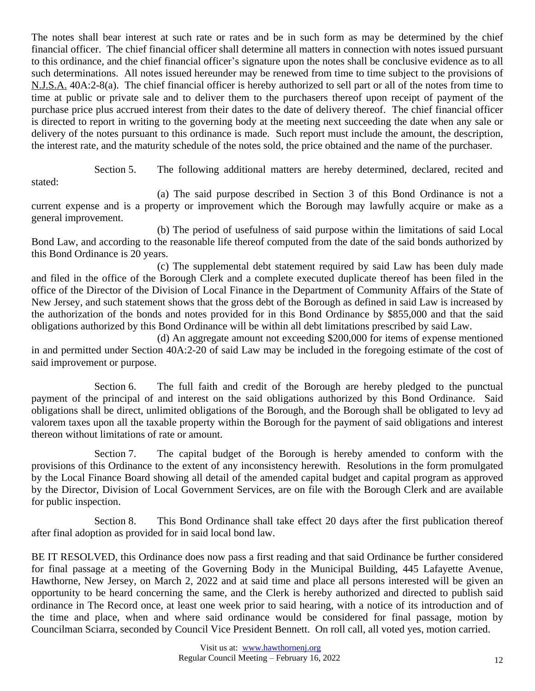The notes shall bear interest at such rate or rates and be in such form as may be determined by the chief financial officer. The chief financial officer shall determine all matters in connection with notes issued pursuant to this ordinance, and the chief financial officer's signature upon the notes shall be conclusive evidence as to all such determinations. All notes issued hereunder may be renewed from time to time subject to the provisions of N.J.S.A. 40A:2-8(a). The chief financial officer is hereby authorized to sell part or all of the notes from time to time at public or private sale and to deliver them to the purchasers thereof upon receipt of payment of the purchase price plus accrued interest from their dates to the date of delivery thereof. The chief financial officer is directed to report in writing to the governing body at the meeting next succeeding the date when any sale or delivery of the notes pursuant to this ordinance is made. Such report must include the amount, the description, the interest rate, and the maturity schedule of the notes sold, the price obtained and the name of the purchaser.

Section 5. The following additional matters are hereby determined, declared, recited and

stated:

(a) The said purpose described in Section 3 of this Bond Ordinance is not a current expense and is a property or improvement which the Borough may lawfully acquire or make as a general improvement.

(b) The period of usefulness of said purpose within the limitations of said Local Bond Law, and according to the reasonable life thereof computed from the date of the said bonds authorized by this Bond Ordinance is 20 years.

(c) The supplemental debt statement required by said Law has been duly made and filed in the office of the Borough Clerk and a complete executed duplicate thereof has been filed in the office of the Director of the Division of Local Finance in the Department of Community Affairs of the State of New Jersey, and such statement shows that the gross debt of the Borough as defined in said Law is increased by the authorization of the bonds and notes provided for in this Bond Ordinance by \$855,000 and that the said obligations authorized by this Bond Ordinance will be within all debt limitations prescribed by said Law.

(d) An aggregate amount not exceeding \$200,000 for items of expense mentioned in and permitted under Section 40A:2-20 of said Law may be included in the foregoing estimate of the cost of said improvement or purpose.

Section 6. The full faith and credit of the Borough are hereby pledged to the punctual payment of the principal of and interest on the said obligations authorized by this Bond Ordinance. Said obligations shall be direct, unlimited obligations of the Borough, and the Borough shall be obligated to levy ad valorem taxes upon all the taxable property within the Borough for the payment of said obligations and interest thereon without limitations of rate or amount.

Section 7. The capital budget of the Borough is hereby amended to conform with the provisions of this Ordinance to the extent of any inconsistency herewith. Resolutions in the form promulgated by the Local Finance Board showing all detail of the amended capital budget and capital program as approved by the Director, Division of Local Government Services, are on file with the Borough Clerk and are available for public inspection.

Section 8. This Bond Ordinance shall take effect 20 days after the first publication thereof after final adoption as provided for in said local bond law.

BE IT RESOLVED, this Ordinance does now pass a first reading and that said Ordinance be further considered for final passage at a meeting of the Governing Body in the Municipal Building, 445 Lafayette Avenue, Hawthorne, New Jersey, on March 2, 2022 and at said time and place all persons interested will be given an opportunity to be heard concerning the same, and the Clerk is hereby authorized and directed to publish said ordinance in The Record once, at least one week prior to said hearing, with a notice of its introduction and of the time and place, when and where said ordinance would be considered for final passage, motion by Councilman Sciarra, seconded by Council Vice President Bennett. On roll call, all voted yes, motion carried.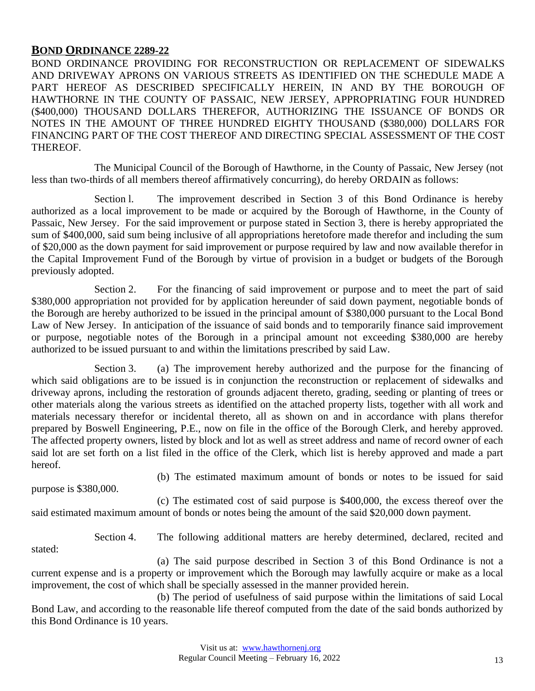#### **BOND ORDINANCE 2289-22**

BOND ORDINANCE PROVIDING FOR RECONSTRUCTION OR REPLACEMENT OF SIDEWALKS AND DRIVEWAY APRONS ON VARIOUS STREETS AS IDENTIFIED ON THE SCHEDULE MADE A PART HEREOF AS DESCRIBED SPECIFICALLY HEREIN, IN AND BY THE BOROUGH OF HAWTHORNE IN THE COUNTY OF PASSAIC, NEW JERSEY, APPROPRIATING FOUR HUNDRED (\$400,000) THOUSAND DOLLARS THEREFOR, AUTHORIZING THE ISSUANCE OF BONDS OR NOTES IN THE AMOUNT OF THREE HUNDRED EIGHTY THOUSAND (\$380,000) DOLLARS FOR FINANCING PART OF THE COST THEREOF AND DIRECTING SPECIAL ASSESSMENT OF THE COST THEREOF.

The Municipal Council of the Borough of Hawthorne, in the County of Passaic, New Jersey (not less than two-thirds of all members thereof affirmatively concurring), do hereby ORDAIN as follows:

Section l. The improvement described in Section 3 of this Bond Ordinance is hereby authorized as a local improvement to be made or acquired by the Borough of Hawthorne, in the County of Passaic, New Jersey. For the said improvement or purpose stated in Section 3, there is hereby appropriated the sum of \$400,000, said sum being inclusive of all appropriations heretofore made therefor and including the sum of \$20,000 as the down payment for said improvement or purpose required by law and now available therefor in the Capital Improvement Fund of the Borough by virtue of provision in a budget or budgets of the Borough previously adopted.

Section 2. For the financing of said improvement or purpose and to meet the part of said \$380,000 appropriation not provided for by application hereunder of said down payment, negotiable bonds of the Borough are hereby authorized to be issued in the principal amount of \$380,000 pursuant to the Local Bond Law of New Jersey. In anticipation of the issuance of said bonds and to temporarily finance said improvement or purpose, negotiable notes of the Borough in a principal amount not exceeding \$380,000 are hereby authorized to be issued pursuant to and within the limitations prescribed by said Law.

Section 3. (a) The improvement hereby authorized and the purpose for the financing of which said obligations are to be issued is in conjunction the reconstruction or replacement of sidewalks and driveway aprons, including the restoration of grounds adjacent thereto, grading, seeding or planting of trees or other materials along the various streets as identified on the attached property lists, together with all work and materials necessary therefor or incidental thereto, all as shown on and in accordance with plans therefor prepared by Boswell Engineering, P.E., now on file in the office of the Borough Clerk, and hereby approved. The affected property owners, listed by block and lot as well as street address and name of record owner of each said lot are set forth on a list filed in the office of the Clerk, which list is hereby approved and made a part hereof.

purpose is \$380,000.

(b) The estimated maximum amount of bonds or notes to be issued for said

(c) The estimated cost of said purpose is \$400,000, the excess thereof over the said estimated maximum amount of bonds or notes being the amount of the said \$20,000 down payment.

stated:

Section 4. The following additional matters are hereby determined, declared, recited and

(a) The said purpose described in Section 3 of this Bond Ordinance is not a current expense and is a property or improvement which the Borough may lawfully acquire or make as a local improvement, the cost of which shall be specially assessed in the manner provided herein.

(b) The period of usefulness of said purpose within the limitations of said Local Bond Law, and according to the reasonable life thereof computed from the date of the said bonds authorized by this Bond Ordinance is 10 years.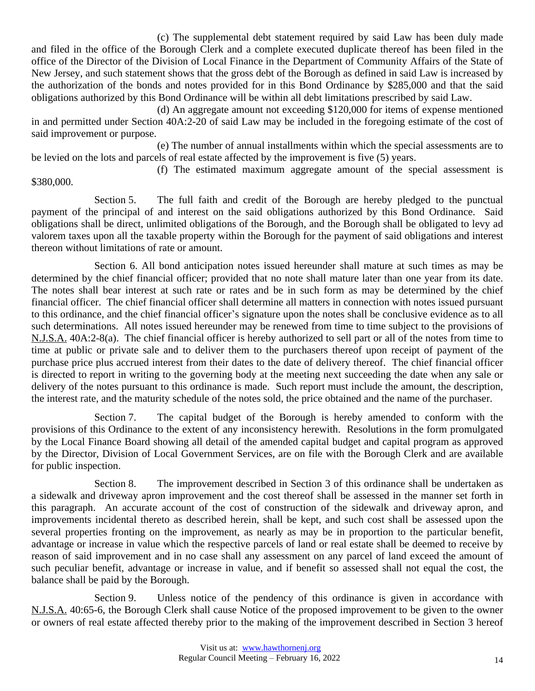(c) The supplemental debt statement required by said Law has been duly made and filed in the office of the Borough Clerk and a complete executed duplicate thereof has been filed in the office of the Director of the Division of Local Finance in the Department of Community Affairs of the State of New Jersey, and such statement shows that the gross debt of the Borough as defined in said Law is increased by the authorization of the bonds and notes provided for in this Bond Ordinance by \$285,000 and that the said obligations authorized by this Bond Ordinance will be within all debt limitations prescribed by said Law.

(d) An aggregate amount not exceeding \$120,000 for items of expense mentioned in and permitted under Section 40A:2-20 of said Law may be included in the foregoing estimate of the cost of said improvement or purpose.

(e) The number of annual installments within which the special assessments are to be levied on the lots and parcels of real estate affected by the improvement is five (5) years.

(f) The estimated maximum aggregate amount of the special assessment is \$380,000.

Section 5. The full faith and credit of the Borough are hereby pledged to the punctual payment of the principal of and interest on the said obligations authorized by this Bond Ordinance. Said obligations shall be direct, unlimited obligations of the Borough, and the Borough shall be obligated to levy ad valorem taxes upon all the taxable property within the Borough for the payment of said obligations and interest thereon without limitations of rate or amount.

Section 6. All bond anticipation notes issued hereunder shall mature at such times as may be determined by the chief financial officer; provided that no note shall mature later than one year from its date. The notes shall bear interest at such rate or rates and be in such form as may be determined by the chief financial officer. The chief financial officer shall determine all matters in connection with notes issued pursuant to this ordinance, and the chief financial officer's signature upon the notes shall be conclusive evidence as to all such determinations. All notes issued hereunder may be renewed from time to time subject to the provisions of N.J.S.A. 40A:2-8(a). The chief financial officer is hereby authorized to sell part or all of the notes from time to time at public or private sale and to deliver them to the purchasers thereof upon receipt of payment of the purchase price plus accrued interest from their dates to the date of delivery thereof. The chief financial officer is directed to report in writing to the governing body at the meeting next succeeding the date when any sale or delivery of the notes pursuant to this ordinance is made. Such report must include the amount, the description, the interest rate, and the maturity schedule of the notes sold, the price obtained and the name of the purchaser.

Section 7. The capital budget of the Borough is hereby amended to conform with the provisions of this Ordinance to the extent of any inconsistency herewith. Resolutions in the form promulgated by the Local Finance Board showing all detail of the amended capital budget and capital program as approved by the Director, Division of Local Government Services, are on file with the Borough Clerk and are available for public inspection.

Section 8. The improvement described in Section 3 of this ordinance shall be undertaken as a sidewalk and driveway apron improvement and the cost thereof shall be assessed in the manner set forth in this paragraph. An accurate account of the cost of construction of the sidewalk and driveway apron, and improvements incidental thereto as described herein, shall be kept, and such cost shall be assessed upon the several properties fronting on the improvement, as nearly as may be in proportion to the particular benefit, advantage or increase in value which the respective parcels of land or real estate shall be deemed to receive by reason of said improvement and in no case shall any assessment on any parcel of land exceed the amount of such peculiar benefit, advantage or increase in value, and if benefit so assessed shall not equal the cost, the balance shall be paid by the Borough.

Section 9. Unless notice of the pendency of this ordinance is given in accordance with N.J.S.A. 40:65-6, the Borough Clerk shall cause Notice of the proposed improvement to be given to the owner or owners of real estate affected thereby prior to the making of the improvement described in Section 3 hereof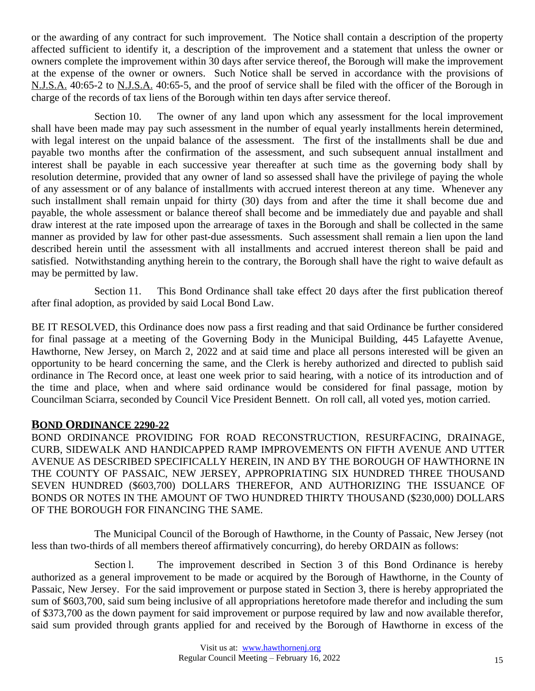or the awarding of any contract for such improvement. The Notice shall contain a description of the property affected sufficient to identify it, a description of the improvement and a statement that unless the owner or owners complete the improvement within 30 days after service thereof, the Borough will make the improvement at the expense of the owner or owners. Such Notice shall be served in accordance with the provisions of N.J.S.A. 40:65-2 to N.J.S.A. 40:65-5, and the proof of service shall be filed with the officer of the Borough in charge of the records of tax liens of the Borough within ten days after service thereof.

Section 10. The owner of any land upon which any assessment for the local improvement shall have been made may pay such assessment in the number of equal yearly installments herein determined, with legal interest on the unpaid balance of the assessment. The first of the installments shall be due and payable two months after the confirmation of the assessment, and such subsequent annual installment and interest shall be payable in each successive year thereafter at such time as the governing body shall by resolution determine, provided that any owner of land so assessed shall have the privilege of paying the whole of any assessment or of any balance of installments with accrued interest thereon at any time. Whenever any such installment shall remain unpaid for thirty (30) days from and after the time it shall become due and payable, the whole assessment or balance thereof shall become and be immediately due and payable and shall draw interest at the rate imposed upon the arrearage of taxes in the Borough and shall be collected in the same manner as provided by law for other past-due assessments. Such assessment shall remain a lien upon the land described herein until the assessment with all installments and accrued interest thereon shall be paid and satisfied. Notwithstanding anything herein to the contrary, the Borough shall have the right to waive default as may be permitted by law.

Section 11. This Bond Ordinance shall take effect 20 days after the first publication thereof after final adoption, as provided by said Local Bond Law.

BE IT RESOLVED, this Ordinance does now pass a first reading and that said Ordinance be further considered for final passage at a meeting of the Governing Body in the Municipal Building, 445 Lafayette Avenue, Hawthorne, New Jersey, on March 2, 2022 and at said time and place all persons interested will be given an opportunity to be heard concerning the same, and the Clerk is hereby authorized and directed to publish said ordinance in The Record once, at least one week prior to said hearing, with a notice of its introduction and of the time and place, when and where said ordinance would be considered for final passage, motion by Councilman Sciarra, seconded by Council Vice President Bennett. On roll call, all voted yes, motion carried.

## **BOND ORDINANCE 2290-22**

BOND ORDINANCE PROVIDING FOR ROAD RECONSTRUCTION, RESURFACING, DRAINAGE, CURB, SIDEWALK AND HANDICAPPED RAMP IMPROVEMENTS ON FIFTH AVENUE AND UTTER AVENUE AS DESCRIBED SPECIFICALLY HEREIN, IN AND BY THE BOROUGH OF HAWTHORNE IN THE COUNTY OF PASSAIC, NEW JERSEY, APPROPRIATING SIX HUNDRED THREE THOUSAND SEVEN HUNDRED (\$603,700) DOLLARS THEREFOR, AND AUTHORIZING THE ISSUANCE OF BONDS OR NOTES IN THE AMOUNT OF TWO HUNDRED THIRTY THOUSAND (\$230,000) DOLLARS OF THE BOROUGH FOR FINANCING THE SAME.

The Municipal Council of the Borough of Hawthorne, in the County of Passaic, New Jersey (not less than two-thirds of all members thereof affirmatively concurring), do hereby ORDAIN as follows:

Section l. The improvement described in Section 3 of this Bond Ordinance is hereby authorized as a general improvement to be made or acquired by the Borough of Hawthorne, in the County of Passaic, New Jersey. For the said improvement or purpose stated in Section 3, there is hereby appropriated the sum of \$603,700, said sum being inclusive of all appropriations heretofore made therefor and including the sum of \$373,700 as the down payment for said improvement or purpose required by law and now available therefor, said sum provided through grants applied for and received by the Borough of Hawthorne in excess of the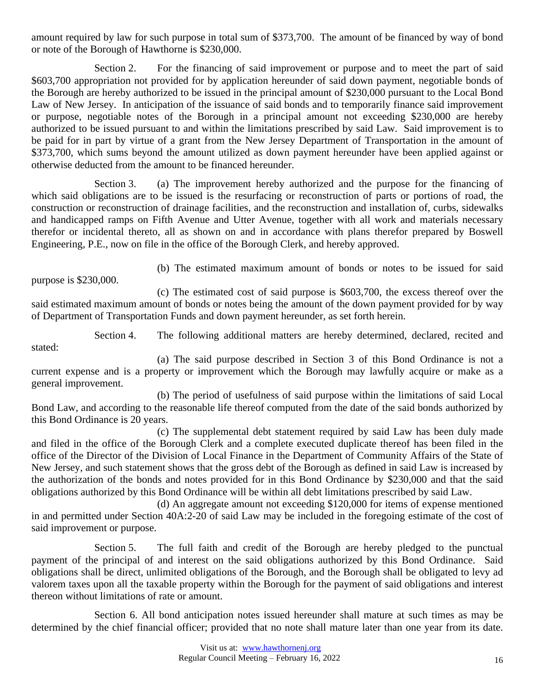amount required by law for such purpose in total sum of \$373,700. The amount of be financed by way of bond or note of the Borough of Hawthorne is \$230,000.

Section 2. For the financing of said improvement or purpose and to meet the part of said \$603,700 appropriation not provided for by application hereunder of said down payment, negotiable bonds of the Borough are hereby authorized to be issued in the principal amount of \$230,000 pursuant to the Local Bond Law of New Jersey. In anticipation of the issuance of said bonds and to temporarily finance said improvement or purpose, negotiable notes of the Borough in a principal amount not exceeding \$230,000 are hereby authorized to be issued pursuant to and within the limitations prescribed by said Law. Said improvement is to be paid for in part by virtue of a grant from the New Jersey Department of Transportation in the amount of \$373,700, which sums beyond the amount utilized as down payment hereunder have been applied against or otherwise deducted from the amount to be financed hereunder.

Section 3. (a) The improvement hereby authorized and the purpose for the financing of which said obligations are to be issued is the resurfacing or reconstruction of parts or portions of road, the construction or reconstruction of drainage facilities, and the reconstruction and installation of, curbs, sidewalks and handicapped ramps on Fifth Avenue and Utter Avenue, together with all work and materials necessary therefor or incidental thereto, all as shown on and in accordance with plans therefor prepared by Boswell Engineering, P.E., now on file in the office of the Borough Clerk, and hereby approved.

purpose is \$230,000.

(b) The estimated maximum amount of bonds or notes to be issued for said

(c) The estimated cost of said purpose is \$603,700, the excess thereof over the said estimated maximum amount of bonds or notes being the amount of the down payment provided for by way of Department of Transportation Funds and down payment hereunder, as set forth herein.

Section 4. The following additional matters are hereby determined, declared, recited and stated:

(a) The said purpose described in Section 3 of this Bond Ordinance is not a current expense and is a property or improvement which the Borough may lawfully acquire or make as a general improvement.

(b) The period of usefulness of said purpose within the limitations of said Local Bond Law, and according to the reasonable life thereof computed from the date of the said bonds authorized by this Bond Ordinance is 20 years.

(c) The supplemental debt statement required by said Law has been duly made and filed in the office of the Borough Clerk and a complete executed duplicate thereof has been filed in the office of the Director of the Division of Local Finance in the Department of Community Affairs of the State of New Jersey, and such statement shows that the gross debt of the Borough as defined in said Law is increased by the authorization of the bonds and notes provided for in this Bond Ordinance by \$230,000 and that the said obligations authorized by this Bond Ordinance will be within all debt limitations prescribed by said Law.

(d) An aggregate amount not exceeding \$120,000 for items of expense mentioned in and permitted under Section 40A:2-20 of said Law may be included in the foregoing estimate of the cost of said improvement or purpose.

Section 5. The full faith and credit of the Borough are hereby pledged to the punctual payment of the principal of and interest on the said obligations authorized by this Bond Ordinance. Said obligations shall be direct, unlimited obligations of the Borough, and the Borough shall be obligated to levy ad valorem taxes upon all the taxable property within the Borough for the payment of said obligations and interest thereon without limitations of rate or amount.

Section 6. All bond anticipation notes issued hereunder shall mature at such times as may be determined by the chief financial officer; provided that no note shall mature later than one year from its date.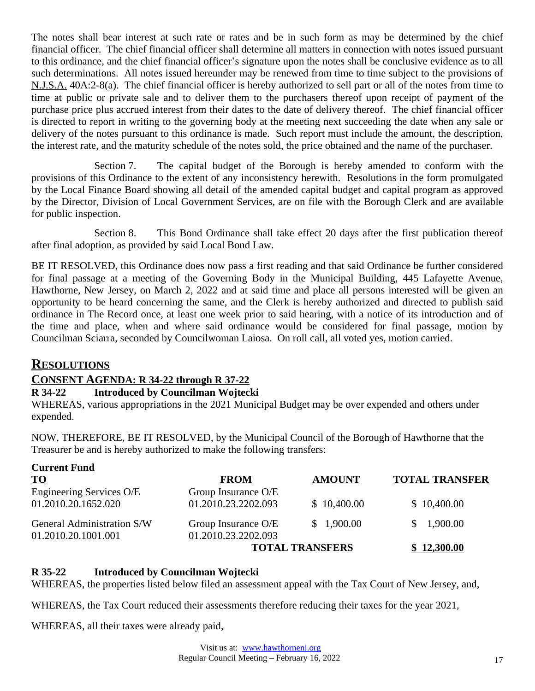The notes shall bear interest at such rate or rates and be in such form as may be determined by the chief financial officer. The chief financial officer shall determine all matters in connection with notes issued pursuant to this ordinance, and the chief financial officer's signature upon the notes shall be conclusive evidence as to all such determinations. All notes issued hereunder may be renewed from time to time subject to the provisions of N.J.S.A. 40A:2-8(a). The chief financial officer is hereby authorized to sell part or all of the notes from time to time at public or private sale and to deliver them to the purchasers thereof upon receipt of payment of the purchase price plus accrued interest from their dates to the date of delivery thereof. The chief financial officer is directed to report in writing to the governing body at the meeting next succeeding the date when any sale or delivery of the notes pursuant to this ordinance is made. Such report must include the amount, the description, the interest rate, and the maturity schedule of the notes sold, the price obtained and the name of the purchaser.

Section 7. The capital budget of the Borough is hereby amended to conform with the provisions of this Ordinance to the extent of any inconsistency herewith. Resolutions in the form promulgated by the Local Finance Board showing all detail of the amended capital budget and capital program as approved by the Director, Division of Local Government Services, are on file with the Borough Clerk and are available for public inspection.

Section 8. This Bond Ordinance shall take effect 20 days after the first publication thereof after final adoption, as provided by said Local Bond Law.

BE IT RESOLVED, this Ordinance does now pass a first reading and that said Ordinance be further considered for final passage at a meeting of the Governing Body in the Municipal Building, 445 Lafayette Avenue, Hawthorne, New Jersey, on March 2, 2022 and at said time and place all persons interested will be given an opportunity to be heard concerning the same, and the Clerk is hereby authorized and directed to publish said ordinance in The Record once, at least one week prior to said hearing, with a notice of its introduction and of the time and place, when and where said ordinance would be considered for final passage, motion by Councilman Sciarra, seconded by Councilwoman Laiosa. On roll call, all voted yes, motion carried.

# **RESOLUTIONS**

## **CONSENT AGENDA: R 34-22 through R 37-22**

#### **R 34-22 Introduced by Councilman Wojtecki**

WHEREAS, various appropriations in the 2021 Municipal Budget may be over expended and others under expended.

NOW, THEREFORE, BE IT RESOLVED, by the Municipal Council of the Borough of Hawthorne that the Treasurer be and is hereby authorized to make the following transfers:

| <b>Current Fund</b>        |                     |                        |                          |
|----------------------------|---------------------|------------------------|--------------------------|
| <b>TO</b>                  | <b>FROM</b>         | <b>AMOUNT</b>          | <b>TOTAL TRANSFER</b>    |
| Engineering Services O/E   | Group Insurance O/E |                        |                          |
| 01.2010.20.1652.020        | 01.2010.23.2202.093 | \$10,400.00            | \$10,400.00              |
| General Administration S/W | Group Insurance O/E | \$1,900.00             | 1,900.00<br><sup>S</sup> |
| 01.2010.20.1001.001        | 01.2010.23.2202.093 |                        |                          |
|                            |                     | <b>TOTAL TRANSFERS</b> | \$12,300.00              |

#### **R 35-22 Introduced by Councilman Wojtecki**

WHEREAS, the properties listed below filed an assessment appeal with the Tax Court of New Jersey, and,

WHEREAS, the Tax Court reduced their assessments therefore reducing their taxes for the year 2021,

WHEREAS, all their taxes were already paid,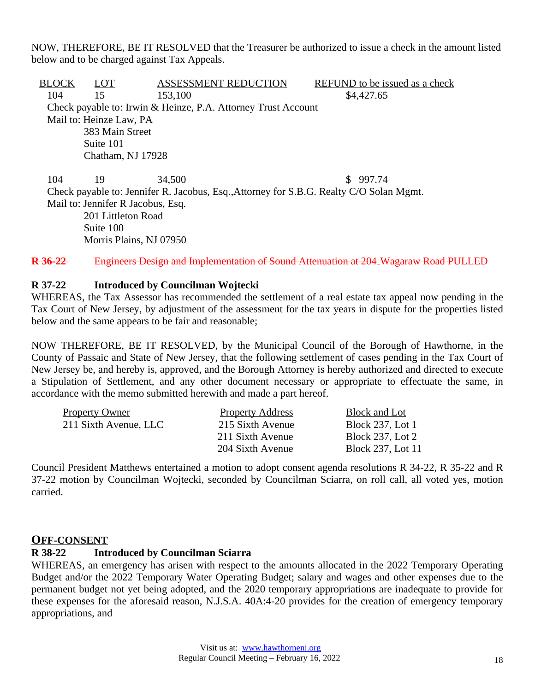NOW, THEREFORE, BE IT RESOLVED that the Treasurer be authorized to issue a check in the amount listed below and to be charged against Tax Appeals.

BLOCK LOT ASSESSMENT REDUCTION REFUND to be issued as a check 104 15 153,100 \$4,427.65 Check payable to: Irwin & Heinze, P.A. Attorney Trust Account Mail to: Heinze Law, PA 383 Main Street Suite 101 Chatham, NJ 17928

104 19 34,500 \$ 997.74 Check payable to: Jennifer R. Jacobus, Esq.,Attorney for S.B.G. Realty C/O Solan Mgmt. Mail to: Jennifer R Jacobus, Esq. 201 Littleton Road Suite 100 Morris Plains, NJ 07950

**R 36-22** Engineers Design and Implementation of Sound Attenuation at 204 Wagaraw Road PULLED

#### **R 37-22 Introduced by Councilman Wojtecki**

WHEREAS, the Tax Assessor has recommended the settlement of a real estate tax appeal now pending in the Tax Court of New Jersey, by adjustment of the assessment for the tax years in dispute for the properties listed below and the same appears to be fair and reasonable;

NOW THEREFORE, BE IT RESOLVED, by the Municipal Council of the Borough of Hawthorne, in the County of Passaic and State of New Jersey, that the following settlement of cases pending in the Tax Court of New Jersey be, and hereby is, approved, and the Borough Attorney is hereby authorized and directed to execute a Stipulation of Settlement, and any other document necessary or appropriate to effectuate the same, in accordance with the memo submitted herewith and made a part hereof.

| <b>Property Owner</b> | <b>Property Address</b> | Block and Lot           |
|-----------------------|-------------------------|-------------------------|
| 211 Sixth Avenue, LLC | 215 Sixth Avenue        | <b>Block 237, Lot 1</b> |
|                       | 211 Sixth Avenue        | <b>Block 237, Lot 2</b> |
|                       | 204 Sixth Avenue        | Block 237, Lot 11       |
|                       |                         |                         |

Council President Matthews entertained a motion to adopt consent agenda resolutions R 34-22, R 35-22 and R 37-22 motion by Councilman Wojtecki, seconded by Councilman Sciarra, on roll call, all voted yes, motion carried.

#### **OFF-CONSENT**

#### **R 38-22 Introduced by Councilman Sciarra**

WHEREAS, an emergency has arisen with respect to the amounts allocated in the 2022 Temporary Operating Budget and/or the 2022 Temporary Water Operating Budget; salary and wages and other expenses due to the permanent budget not yet being adopted, and the 2020 temporary appropriations are inadequate to provide for these expenses for the aforesaid reason, N.J.S.A. 40A:4-20 provides for the creation of emergency temporary appropriations, and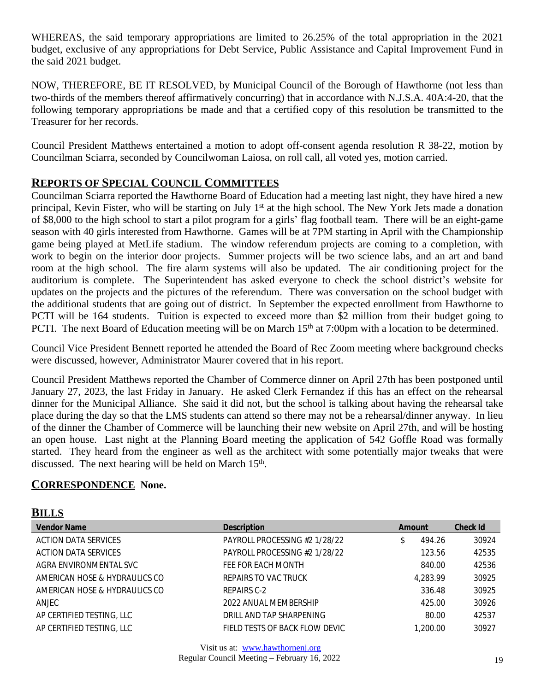WHEREAS, the said temporary appropriations are limited to 26.25% of the total appropriation in the 2021 budget, exclusive of any appropriations for Debt Service, Public Assistance and Capital Improvement Fund in the said 2021 budget.

NOW, THEREFORE, BE IT RESOLVED, by Municipal Council of the Borough of Hawthorne (not less than two-thirds of the members thereof affirmatively concurring) that in accordance with N.J.S.A. 40A:4-20, that the following temporary appropriations be made and that a certified copy of this resolution be transmitted to the Treasurer for her records.

Council President Matthews entertained a motion to adopt off-consent agenda resolution R 38-22, motion by Councilman Sciarra, seconded by Councilwoman Laiosa, on roll call, all voted yes, motion carried.

# **REPORTS OF SPECIAL COUNCIL COMMITTEES**

Councilman Sciarra reported the Hawthorne Board of Education had a meeting last night, they have hired a new principal, Kevin Fister, who will be starting on July 1<sup>st</sup> at the high school. The New York Jets made a donation of \$8,000 to the high school to start a pilot program for a girls' flag football team. There will be an eight-game season with 40 girls interested from Hawthorne. Games will be at 7PM starting in April with the Championship game being played at MetLife stadium. The window referendum projects are coming to a completion, with work to begin on the interior door projects. Summer projects will be two science labs, and an art and band room at the high school. The fire alarm systems will also be updated. The air conditioning project for the auditorium is complete. The Superintendent has asked everyone to check the school district's website for updates on the projects and the pictures of the referendum. There was conversation on the school budget with the additional students that are going out of district. In September the expected enrollment from Hawthorne to PCTI will be 164 students. Tuition is expected to exceed more than \$2 million from their budget going to PCTI. The next Board of Education meeting will be on March 15<sup>th</sup> at 7:00pm with a location to be determined.

Council Vice President Bennett reported he attended the Board of Rec Zoom meeting where background checks were discussed, however, Administrator Maurer covered that in his report.

Council President Matthews reported the Chamber of Commerce dinner on April 27th has been postponed until January 27, 2023, the last Friday in January. He asked Clerk Fernandez if this has an effect on the rehearsal dinner for the Municipal Alliance. She said it did not, but the school is talking about having the rehearsal take place during the day so that the LMS students can attend so there may not be a rehearsal/dinner anyway. In lieu of the dinner the Chamber of Commerce will be launching their new website on April 27th, and will be hosting an open house. Last night at the Planning Board meeting the application of 542 Goffle Road was formally started. They heard from the engineer as well as the architect with some potentially major tweaks that were discussed. The next hearing will be held on March 15<sup>th</sup>.

## **CORRESPONDENCE None.**

 $P$ **II** I  $C$ 

| DILLIS                        |                                |          |                 |
|-------------------------------|--------------------------------|----------|-----------------|
| <b>Vendor Name</b>            | <b>Description</b>             | Amount   | <b>Check Id</b> |
| ACTION DATA SERVICES          | PAYROLL PROCESSING #2 1/28/22  | 494.26   | 30924           |
| ACTION DATA SERVICES          | PAYROLL PROCESSING #2 1/28/22  | 123.56   | 42535           |
| AGRA ENVIRONMENTAL SVC        | FEE FOR EACH MONTH             | 840.00   | 42536           |
| AMERICAN HOSE & HYDRAULICS CO | REPAIRS TO VAC TRUCK           | 4.283.99 | 30925           |
| AMERICAN HOSE & HYDRAULICS CO | REPAIRS C-2                    | 336.48   | 30925           |
| ANJEC                         | 2022 ANUAL MEMBERSHIP          | 425.00   | 30926           |
| AP CERTIFIED TESTING, LLC     | DRILL AND TAP SHARPENING       | 80.00    | 42537           |
| AP CERTIFIED TESTING, LLC     | FIELD TESTS OF BACK FLOW DEVIC | 1,200.00 | 30927           |
|                               |                                |          |                 |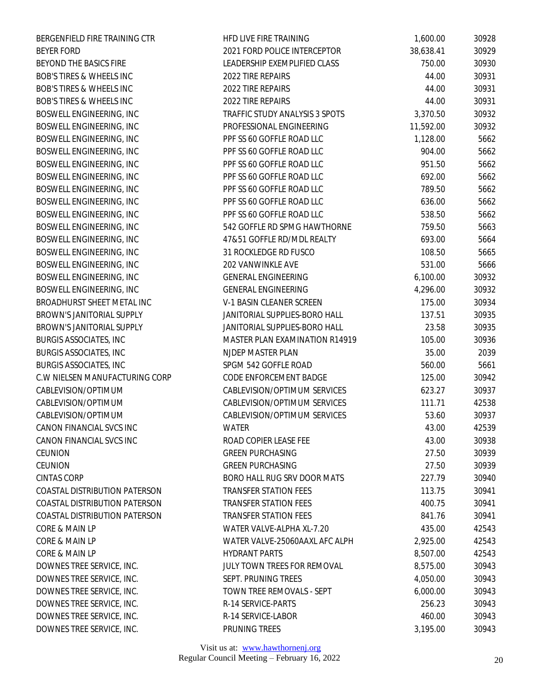| BERGENFIELD FIRE TRAINING CTR        | HED LIVE FIRE TRAINING         | 1,600.00  | 30928 |
|--------------------------------------|--------------------------------|-----------|-------|
| <b>BEYER FORD</b>                    | 2021 FORD POLICE INTERCEPTOR   | 38,638.41 | 30929 |
| BEYOND THE BASICS FIRE               | LEADERSHIP EXEMPLIFIED CLASS   | 750.00    | 30930 |
| BOB'S TIRES & WHEELS INC             | 2022 TIRE REPAIRS              | 44.00     | 30931 |
| <b>BOB'S TIRES &amp; WHEELS INC</b>  | 2022 TIRE REPAIRS              | 44.00     | 30931 |
| <b>BOB'S TIRES &amp; WHEELS INC</b>  | 2022 TIRE REPAIRS              | 44.00     | 30931 |
| BOSWELL ENGINEERING, INC             | TRAFFIC STUDY ANALYSIS 3 SPOTS | 3,370.50  | 30932 |
| BOSWELL ENGINEERING, INC             | PROFESSIONAL ENGINEERING       | 11,592.00 | 30932 |
| BOSWELL ENGINEERING, INC             | PPF SS 60 GOFFLE ROAD LLC      | 1,128.00  | 5662  |
| BOSWELL ENGINEERING, INC             | PPF SS 60 GOFFLE ROAD LLC      | 904.00    | 5662  |
| BOSWELL ENGINEERING, INC             | PPF SS 60 GOFFLE ROAD LLC      | 951.50    | 5662  |
| BOSWELL ENGINEERING, INC             | PPF SS 60 GOFFLE ROAD LLC      | 692.00    | 5662  |
| BOSWELL ENGINEERING, INC             | PPF SS 60 GOFFLE ROAD LLC      | 789.50    | 5662  |
| BOSWELL ENGINEERING, INC             | PPF SS 60 GOFFLE ROAD LLC      | 636.00    | 5662  |
| BOSWELL ENGINEERING, INC             | PPF SS 60 GOFFLE ROAD LLC      | 538.50    | 5662  |
| BOSWELL ENGINEERING, INC             | 542 GOFFLE RD SPMG HAWTHORNE   | 759.50    | 5663  |
| BOSWELL ENGINEERING, INC             | 47&51 GOFFLE RD/MDL REALTY     |           |       |
|                                      |                                | 693.00    | 5664  |
| BOSWELL ENGINEERING, INC             | 31 ROCKLEDGE RD FUSCO          | 108.50    | 5665  |
| BOSWELL ENGINEERING, INC             | 202 VANWINKLE AVE              | 531.00    | 5666  |
| BOSWELL ENGINEERING, INC             | <b>GENERAL ENGINEERING</b>     | 6,100.00  | 30932 |
| BOSWELL ENGINEERING, INC             | <b>GENERAL ENGINEERING</b>     | 4,296.00  | 30932 |
| BROADHURST SHEET METAL INC           | V-1 BASIN CLEANER SCREEN       | 175.00    | 30934 |
| BROWN'S JANITORIAL SUPPLY            | JANITORIAL SUPPLIES-BORO HALL  | 137.51    | 30935 |
| BROWN'S JANITORIAL SUPPLY            | JANITORIAL SUPPLIES-BORO HALL  | 23.58     | 30935 |
| <b>BURGIS ASSOCIATES, INC</b>        | MASTER PLAN EXAMINATION R14919 | 105.00    | 30936 |
| <b>BURGIS ASSOCIATES, INC</b>        | NJDEP MASTER PLAN              | 35.00     | 2039  |
| <b>BURGIS ASSOCIATES, INC</b>        | SPGM 542 GOFFLE ROAD           | 560.00    | 5661  |
| C.W NIELSEN MANUFACTURING CORP       | CODE ENFORCEMENT BADGE         | 125.00    | 30942 |
| CABLEVISION/OPTIMUM                  | CABLEVISION/OPTIMUM SERVICES   | 623.27    | 30937 |
| CABLEVISION/OPTIMUM                  | CABLEVISION/OPTIMUM SERVICES   | 111.71    | 42538 |
| CABLEVISION/OPTIMUM                  | CABLEVISION/OPTIMUM SERVICES   | 53.60     | 30937 |
| CANON FINANCIAL SVCS INC             | WATER                          | 43.00     | 42539 |
| CANON FINANCIAL SVCS INC             | ROAD COPIER LEASE FEE          | 43.00     | 30938 |
| CEUNION                              | <b>GREEN PURCHASING</b>        | 27.50     | 30939 |
| CEUNION                              | <b>GREEN PURCHASING</b>        | 27.50     | 30939 |
| <b>CINTAS CORP</b>                   | BORO HALL RUG SRV DOOR MATS    | 227.79    | 30940 |
| COASTAL DISTRIBUTION PATERSON        | <b>TRANSFER STATION FEES</b>   | 113.75    | 30941 |
| <b>COASTAL DISTRIBUTION PATERSON</b> | <b>TRANSFER STATION FEES</b>   | 400.75    | 30941 |
| COASTAL DISTRIBUTION PATERSON        | <b>TRANSFER STATION FEES</b>   | 841.76    | 30941 |
| CORE & MAIN LP                       | WATER VALVE-ALPHA XL-7.20      | 435.00    | 42543 |
| CORE & MAIN LP                       | WATER VALVE-25060AAXL AFC ALPH | 2,925.00  | 42543 |
| CORE & MAIN LP                       | <b>HYDRANT PARTS</b>           | 8,507.00  | 42543 |
| DOWNES TREE SERVICE, INC.            | JULY TOWN TREES FOR REMOVAL    | 8,575.00  | 30943 |
| DOWNES TREE SERVICE, INC.            | SEPT. PRUNING TREES            | 4,050.00  | 30943 |
| DOWNES TREE SERVICE, INC.            | TOWN TREE REMOVALS - SEPT      | 6,000.00  | 30943 |
| DOWNES TREE SERVICE, INC.            | R-14 SERVICE-PARTS             | 256.23    | 30943 |
| DOWNES TREE SERVICE, INC.            | R-14 SERVICE-LABOR             | 460.00    | 30943 |
| DOWNES TREE SERVICE, INC.            | PRUNING TREES                  | 3,195.00  | 30943 |
|                                      |                                |           |       |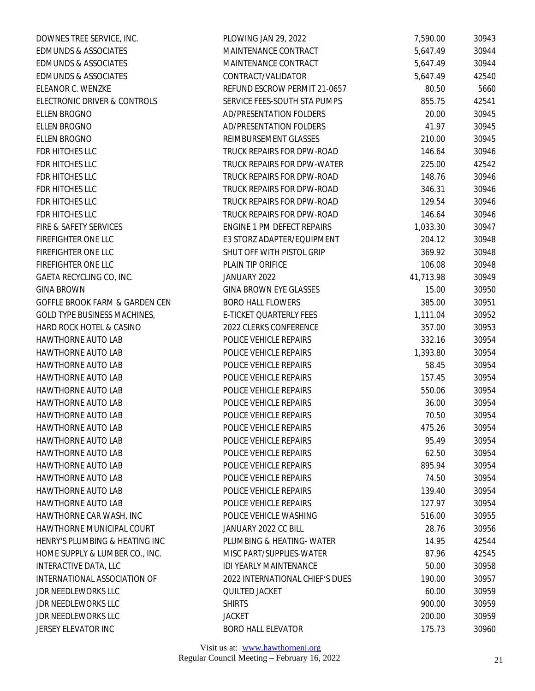| DOWNES TREE SERVICE, INC.       | PLOWING JAN 29, 2022            | 7,590.00  | 30943 |
|---------------------------------|---------------------------------|-----------|-------|
| <b>EDMUNDS &amp; ASSOCIATES</b> | MAINTENANCE CONTRACT            | 5,647.49  | 30944 |
| <b>EDMUNDS &amp; ASSOCIATES</b> | MAINTENANCE CONTRACT            | 5,647.49  | 30944 |
| <b>EDMUNDS &amp; ASSOCIATES</b> | CONTRACT/VALIDATOR              | 5,647.49  | 42540 |
| ELEANOR C. WENZKE               | REFUND ESCROW PERMIT 21-0657    | 80.50     | 5660  |
| ELECTRONIC DRIVER & CONTROLS    | SERVICE FEES-SOUTH STA PUMPS    | 855.75    | 42541 |
| <b>ELLEN BROGNO</b>             | AD/PRESENTATION FOLDERS         | 20.00     | 30945 |
| ELLEN BROGNO                    | AD/PRESENTATION FOLDERS         | 41.97     | 30945 |
| ELLEN BROGNO                    | REIMBURSEMENT GLASSES           | 210.00    | 30945 |
| FDR HITCHES LLC                 | TRUCK REPAIRS FOR DPW-ROAD      | 146.64    | 30946 |
| FDR HITCHES LLC                 | TRUCK REPAIRS FOR DPW-WATER     | 225.00    | 42542 |
| FDR HITCHES LLC                 | TRUCK REPAIRS FOR DPW-ROAD      | 148.76    | 30946 |
| FDR HITCHES LLC                 | TRUCK REPAIRS FOR DPW-ROAD      | 346.31    | 30946 |
| FDR HITCHES LLC                 | TRUCK REPAIRS FOR DPW-ROAD      | 129.54    | 30946 |
| FDR HITCHES LLC                 | TRUCK REPAIRS FOR DPW-ROAD      | 146.64    | 30946 |
| FIRE & SAFETY SERVICES          | ENGINE 1 PM DEFECT REPAIRS      | 1,033.30  | 30947 |
| FIREFIGHTER ONE LLC             | E3 STORZ ADAPTER/EQUIPMENT      | 204.12    | 30948 |
| FIREFIGHTER ONE LLC             | SHUT OFF WITH PISTOL GRIP       | 369.92    | 30948 |
| FIREFIGHTER ONE LLC             | PLAIN TIP ORIFICE               | 106.08    | 30948 |
| GAETA RECYCLING CO, INC.        | JANUARY 2022                    | 41,713.98 | 30949 |
| <b>GINA BROWN</b>               | <b>GINA BROWN EYE GLASSES</b>   | 15.00     | 30950 |
| GOFFLE BROOK FARM & GARDEN CEN  | <b>BORO HALL FLOWERS</b>        | 385.00    | 30951 |
| GOLD TYPE BUSINESS MACHINES,    | E-TICKET QUARTERLY FEES         | 1,111.04  | 30952 |
| HARD ROCK HOTEL & CASINO        | 2022 CLERKS CONFERENCE          | 357.00    | 30953 |
| HAWTHORNE AUTO LAB              | POLICE VEHICLE REPAIRS          | 332.16    | 30954 |
| HAWTHORNE AUTO LAB              | POLICE VEHICLE REPAIRS          | 1,393.80  | 30954 |
| <b>HAWTHORNE AUTO LAB</b>       | POLICE VEHICLE REPAIRS          | 58.45     | 30954 |
| HAWTHORNE AUTO LAB              | POLICE VEHICLE REPAIRS          | 157.45    | 30954 |
| HAWTHORNE AUTO LAB              | POLICE VEHICLE REPAIRS          | 550.06    | 30954 |
| HAWTHORNE AUTO LAB              | POLICE VEHICLE REPAIRS          | 36.00     | 30954 |
| HAWTHORNE AUTO LAB              | POLICE VEHICLE REPAIRS          | 70.50     | 30954 |
| HAWTHORNE AUTO LAB              | POLICE VEHICLE REPAIRS          | 475.26    | 30954 |
| HAWTHORNE AUTO LAB              | POLICE VEHICLE REPAIRS          | 95.49     | 30954 |
| <b>HAWTHORNE AUTO LAB</b>       | POLICE VEHICLE REPAIRS          | 62.50     | 30954 |
| <b>HAWTHORNE AUTO LAB</b>       | POLICE VEHICLE REPAIRS          | 895.94    | 30954 |
| <b>HAWTHORNE AUTO LAB</b>       | POLICE VEHICLE REPAIRS          | 74.50     | 30954 |
| <b>HAWTHORNE AUTO LAB</b>       | POLICE VEHICLE REPAIRS          | 139.40    | 30954 |
| HAWTHORNE AUTO LAB              | POLICE VEHICLE REPAIRS          | 127.97    | 30954 |
| HAWTHORNE CAR WASH, INC         | POLICE VEHICLE WASHING          | 516.00    | 30955 |
| HAWTHORNE MUNICIPAL COURT       | JANUARY 2022 CC BILL            | 28.76     | 30956 |
| HENRY'S PLUMBING & HEATING INC  | PLUMBING & HEATING-WATER        | 14.95     | 42544 |
| HOME SUPPLY & LUMBER CO., INC.  | MISC PART/SUPPLIES-WATER        | 87.96     | 42545 |
| INTERACTIVE DATA, LLC           | IDI YEARLY MAINTENANCE          | 50.00     | 30958 |
| INTERNATIONAL ASSOCIATION OF    | 2022 INTERNATIONAL CHIEF'S DUES | 190.00    | 30957 |
| JDR NEEDLEWORKS LLC             | QUILTED JACKET                  | 60.00     | 30959 |
| JDR NEEDLEWORKS LLC             | <b>SHIRTS</b>                   | 900.00    | 30959 |
| JDR NEEDLEWORKS LLC             | <b>JACKET</b>                   | 200.00    | 30959 |
| JERSEY ELEVATOR INC             | <b>BORO HALL ELEVATOR</b>       | 175.73    | 30960 |
|                                 |                                 |           |       |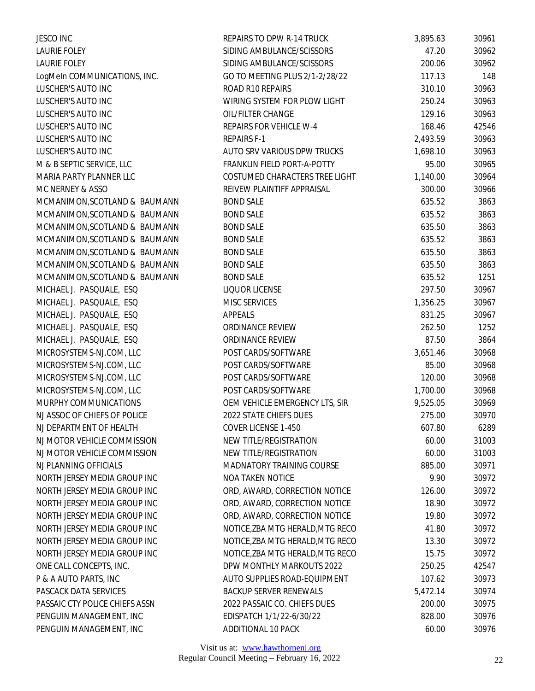| <b>JESCO INC</b>               | REPAIRS TO DPW R-14 TRUCK        | 3,895.63 | 30961 |
|--------------------------------|----------------------------------|----------|-------|
| <b>LAURIE FOLEY</b>            | SIDING AMBULANCE/SCISSORS        | 47.20    | 30962 |
| <b>LAURIE FOLEY</b>            | SIDING AMBULANCE/SCISSORS        | 200.06   | 30962 |
| LogMeIn COMMUNICATIONS, INC.   | GO TO MEETING PLUS 2/1-2/28/22   | 117.13   | 148   |
| LUSCHER'S AUTO INC             | ROAD R10 REPAIRS                 | 310.10   | 30963 |
| LUSCHER'S AUTO INC             | WIRING SYSTEM FOR PLOW LIGHT     | 250.24   | 30963 |
| LUSCHER'S AUTO INC             | OIL/FILTER CHANGE                | 129.16   | 30963 |
| LUSCHER'S AUTO INC             | REPAIRS FOR VEHICLE W-4          | 168.46   | 42546 |
| LUSCHER'S AUTO INC             | <b>REPAIRS F-1</b>               | 2,493.59 | 30963 |
| LUSCHER'S AUTO INC             | AUTO SRV VARIOUS DPW TRUCKS      | 1,698.10 | 30963 |
| M & B SEPTIC SERVICE, LLC      | FRANKLIN FIELD PORT-A-POTTY      | 95.00    | 30965 |
| MARIA PARTY PLANNER LLC        | COSTUMED CHARACTERS TREE LIGHT   | 1,140.00 | 30964 |
| MC NERNEY & ASSO               | REIVEW PLAINTIFF APPRAISAL       | 300.00   | 30966 |
| MCMANIMON, SCOTLAND & BAUMANN  | <b>BOND SALE</b>                 | 635.52   | 3863  |
| MCMANIMON, SCOTLAND & BAUMANN  | <b>BOND SALE</b>                 | 635.52   | 3863  |
| MCMANIMON, SCOTLAND & BAUMANN  | <b>BOND SALE</b>                 | 635.50   | 3863  |
| MCMANIMON, SCOTLAND & BAUMANN  | <b>BOND SALE</b>                 | 635.52   | 3863  |
| MCMANIMON, SCOTLAND & BAUMANN  | <b>BOND SALE</b>                 | 635.50   | 3863  |
| MCMANIMON, SCOTLAND & BAUMANN  | <b>BOND SALE</b>                 | 635.50   | 3863  |
| MCMANIMON, SCOTLAND & BAUMANN  | <b>BOND SALE</b>                 | 635.52   | 1251  |
| MICHAEL J. PASQUALE, ESQ       | LIQUOR LICENSE                   | 297.50   | 30967 |
| MICHAEL J. PASQUALE, ESQ       | MISC SERVICES                    | 1,356.25 | 30967 |
| MICHAEL J. PASQUALE, ESQ       | APPEALS                          | 831.25   | 30967 |
| MICHAEL J. PASQUALE, ESQ       | ORDINANCE REVIEW                 | 262.50   | 1252  |
| MICHAEL J. PASQUALE, ESQ       | ORDINANCE REVIEW                 | 87.50    | 3864  |
| MICROSYSTEMS-NJ.COM, LLC       | POST CARDS/SOFTWARE              | 3,651.46 | 30968 |
| MICROSYSTEMS-NJ.COM, LLC       | POST CARDS/SOFTWARE              | 85.00    | 30968 |
| MICROSYSTEMS-NJ.COM, LLC       | POST CARDS/SOFTWARE              | 120.00   | 30968 |
| MICROSYSTEMS-NJ.COM, LLC       | POST CARDS/SOFTWARE              | 1,700.00 | 30968 |
| MURPHY COMMUNICATIONS          | OEM VEHICLE EMERGENCY LTS, SIR   | 9,525.05 | 30969 |
| NJ ASSOC OF CHIEFS OF POLICE   | 2022 STATE CHIEFS DUES           | 275.00   | 30970 |
| NJ DEPARTMENT OF HEALTH        | COVER LICENSE 1-450              | 607.80   | 6289  |
| NJ MOTOR VEHICLE COMMISSION    | NEW TITLE/REGISTRATION           | 60.00    | 31003 |
| NJ MOTOR VEHICLE COMMISSION    | NEW TITLE/REGISTRATION           | 60.00    | 31003 |
| NJ PLANNING OFFICIALS          | MADNATORY TRAINING COURSE        | 885.00   | 30971 |
| NORTH JERSEY MEDIA GROUP INC   | NOA TAKEN NOTICE                 | 9.90     | 30972 |
| NORTH JERSEY MEDIA GROUP INC   | ORD, AWARD, CORRECTION NOTICE    | 126.00   | 30972 |
| NORTH JERSEY MEDIA GROUP INC   | ORD, AWARD, CORRECTION NOTICE    | 18.90    | 30972 |
| NORTH JERSEY MEDIA GROUP INC   | ORD, AWARD, CORRECTION NOTICE    | 19.80    | 30972 |
| NORTH JERSEY MEDIA GROUP INC   | NOTICE, ZBA MTG HERALD, MTG RECO | 41.80    | 30972 |
| NORTH JERSEY MEDIA GROUP INC   | NOTICE, ZBA MTG HERALD, MTG RECO | 13.30    | 30972 |
| NORTH JERSEY MEDIA GROUP INC   | NOTICE, ZBA MTG HERALD, MTG RECO | 15.75    | 30972 |
| ONE CALL CONCEPTS, INC.        | DPW MONTHLY MARKOUTS 2022        | 250.25   | 42547 |
| P & A AUTO PARTS, INC          | AUTO SUPPLIES ROAD-EQUIPMENT     | 107.62   | 30973 |
| PASCACK DATA SERVICES          | <b>BACKUP SERVER RENEWALS</b>    | 5,472.14 | 30974 |
| PASSAIC CTY POLICE CHIEFS ASSN | 2022 PASSAIC CO. CHIEFS DUES     | 200.00   | 30975 |
| PENGUIN MANAGEMENT, INC        | EDISPATCH 1/1/22-6/30/22         | 828.00   | 30976 |
| PENGUIN MANAGEMENT, INC        | ADDITIONAL 10 PACK               | 60.00    | 30976 |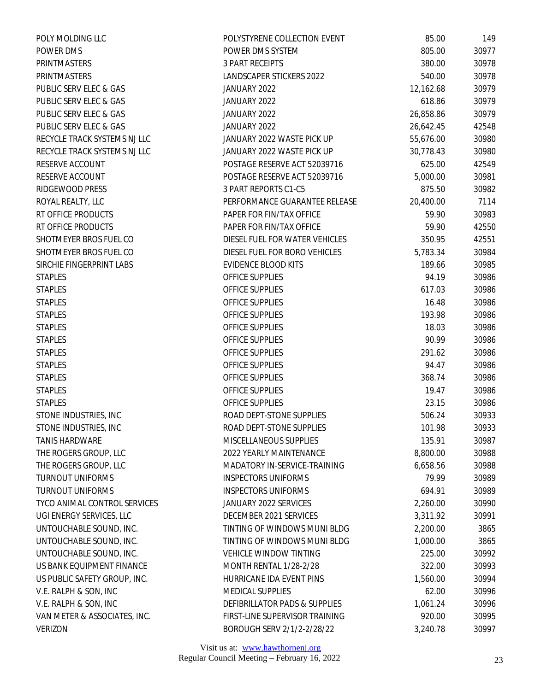| POLY MOLDING LLC             | POLYSTYRENE COLLECTION EVENT   | 85.00     | 149   |
|------------------------------|--------------------------------|-----------|-------|
| POWER DMS                    | POWER DMS SYSTEM               | 805.00    | 30977 |
| PRINTMASTERS                 | <b>3 PART RECEIPTS</b>         | 380.00    | 30978 |
| PRINTMASTERS                 | LANDSCAPER STICKERS 2022       | 540.00    | 30978 |
| PUBLIC SERV ELEC & GAS       | JANUARY 2022                   | 12,162.68 | 30979 |
| PUBLIC SERV ELEC & GAS       | JANUARY 2022                   | 618.86    | 30979 |
| PUBLIC SERV ELEC & GAS       | JANUARY 2022                   | 26,858.86 | 30979 |
| PUBLIC SERV ELEC & GAS       | JANUARY 2022                   | 26,642.45 | 42548 |
| RECYCLE TRACK SYSTEMS NJ LLC | JANUARY 2022 WASTE PICK UP     | 55,676.00 | 30980 |
| RECYCLE TRACK SYSTEMS NJ LLC | JANUARY 2022 WASTE PICK UP     | 30,778.43 | 30980 |
| RESERVE ACCOUNT              | POSTAGE RESERVE ACT 52039716   | 625.00    | 42549 |
| RESERVE ACCOUNT              | POSTAGE RESERVE ACT 52039716   | 5,000.00  | 30981 |
| RIDGEWOOD PRESS              | 3 PART REPORTS C1-C5           | 875.50    | 30982 |
| ROYAL REALTY, LLC            | PERFORMANCE GUARANTEE RELEASE  | 20,400.00 | 7114  |
| RT OFFICE PRODUCTS           | PAPER FOR FIN/TAX OFFICE       | 59.90     | 30983 |
| RT OFFICE PRODUCTS           | PAPER FOR FIN/TAX OFFICE       | 59.90     | 42550 |
| SHOTMEYER BROS FUEL CO       | DIESEL FUEL FOR WATER VEHICLES | 350.95    | 42551 |
| SHOTMEYER BROS FUEL CO       | DIESEL FUEL FOR BORO VEHICLES  | 5,783.34  | 30984 |
| SIRCHIE FINGERPRINT LABS     | <b>EVIDENCE BLOOD KITS</b>     | 189.66    | 30985 |
| <b>STAPLES</b>               | OFFICE SUPPLIES                | 94.19     | 30986 |
| <b>STAPLES</b>               | OFFICE SUPPLIES                | 617.03    | 30986 |
| <b>STAPLES</b>               | OFFICE SUPPLIES                | 16.48     | 30986 |
| <b>STAPLES</b>               | OFFICE SUPPLIES                | 193.98    | 30986 |
| <b>STAPLES</b>               | OFFICE SUPPLIES                | 18.03     | 30986 |
| <b>STAPLES</b>               | OFFICE SUPPLIES                | 90.99     | 30986 |
| <b>STAPLES</b>               | OFFICE SUPPLIES                | 291.62    | 30986 |
| <b>STAPLES</b>               | OFFICE SUPPLIES                | 94.47     | 30986 |
| <b>STAPLES</b>               | OFFICE SUPPLIES                | 368.74    | 30986 |
| <b>STAPLES</b>               | OFFICE SUPPLIES                | 19.47     | 30986 |
| <b>STAPLES</b>               | OFFICE SUPPLIES                | 23.15     | 30986 |
| STONE INDUSTRIES, INC        | ROAD DEPT-STONE SUPPLIES       | 506.24    | 30933 |
| STONE INDUSTRIES, INC        | ROAD DEPT-STONE SUPPLIES       | 101.98    | 30933 |
| <b>TANIS HARDWARE</b>        | MISCELLANEOUS SUPPLIES         | 135.91    | 30987 |
| THE ROGERS GROUP, LLC        | 2022 YEARLY MAINTENANCE        | 8,800.00  | 30988 |
| THE ROGERS GROUP, LLC        | MADATORY IN-SERVICE-TRAINING   | 6,658.56  | 30988 |
| <b>TURNOUT UNIFORMS</b>      | <b>INSPECTORS UNIFORMS</b>     | 79.99     | 30989 |
| <b>TURNOUT UNIFORMS</b>      | <b>INSPECTORS UNIFORMS</b>     | 694.91    | 30989 |
| TYCO ANIMAL CONTROL SERVICES | JANUARY 2022 SERVICES          | 2,260.00  | 30990 |
| UGI ENERGY SERVICES, LLC     | DECEMBER 2021 SERVICES         | 3,311.92  | 30991 |
| UNTOUCHABLE SOUND, INC.      | TINTING OF WINDOWS MUNI BLDG   | 2,200.00  | 3865  |
| UNTOUCHABLE SOUND, INC.      | TINTING OF WINDOWS MUNI BLDG   | 1,000.00  | 3865  |
| UNTOUCHABLE SOUND, INC.      | <b>VEHICLE WINDOW TINTING</b>  | 225.00    | 30992 |
| US BANK EQUIPMENT FINANCE    | MONTH RENTAL 1/28-2/28         | 322.00    | 30993 |
| US PUBLIC SAFETY GROUP, INC. | HURRICANE IDA EVENT PINS       | 1,560.00  | 30994 |
| V.E. RALPH & SON, INC        | MEDICAL SUPPLIES               | 62.00     | 30996 |
| V.E. RALPH & SON, INC        | DEFIBRILLATOR PADS & SUPPLIES  | 1,061.24  | 30996 |
| VAN METER & ASSOCIATES, INC. | FIRST-LINE SUPERVISOR TRAINING | 920.00    | 30995 |
| <b>VERIZON</b>               | BOROUGH SERV 2/1/2-2/28/22     | 3,240.78  | 30997 |
|                              |                                |           |       |